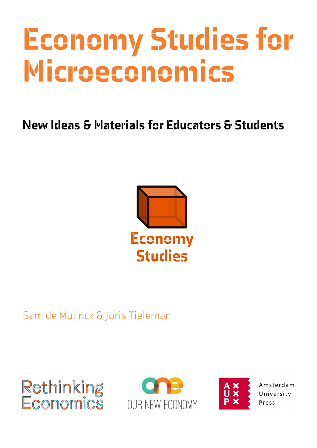# Economy Studies for Microeconomics

# New Ideas & Materials for Educators & Students



# Sam de Muijnck & Joris Tieleman







Amsterdam University Press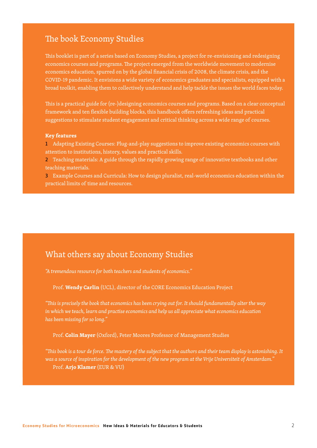#### The book Economy Studies

This booklet is part of a series based on Economy Studies, a project for re-envisioning and redesigning economics courses and programs. The project emerged from the worldwide movement to modernise economics education, spurred on by the global financial crisis of 2008, the climate crisis, and the COVID-19 pandemic. It envisions a wide variety of economics graduates and specialists, equipped with a broad toolkit, enabling them to collectively understand and help tackle the issues the world faces today.

This is a practical guide for (re-)designing economics courses and programs. Based on a clear conceptual framework and ten flexible building blocks, this handbook offers refreshing ideas and practical suggestions to stimulate student engagement and critical thinking across a wide range of courses.

#### **Key features**

1 Adapting Existing Courses: Plug-and-play suggestions to improve existing economics courses with attention to institutions, history, values and practical skills.

2 Teaching materials: A guide through the rapidly growing range of innovative textbooks and other teaching materials.

3 Example Courses and Curricula: How to design pluralist, real-world economics education within the practical limits of time and resources.

#### What others say about Economy Studies

*"A tremendous resource for both teachers and students of economics."*

Prof. **Wendy Carlin** (UCL), director of the CORE Economics Education Project

*"This is precisely the book that economics has been crying out for. It should fundamentally alter the way in which we teach, learn and practise economics and help us all appreciate what economics education has been missing for so long."*

Prof. **Colin Mayer** (Oxford), Peter Moores Professor of Management Studies

*"This book is a tour de force. The mastery of the subject that the authors and their team display is astonishing. It was a source of inspiration for the development of the new program at the Vrije Universiteit of Amsterdam."*  Prof. **Arjo Klamer** (EUR & VU)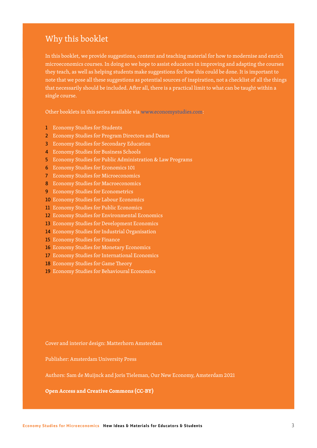#### Why this booklet

In this booklet, we provide suggestions, content and teaching material for how to modernise and enrich microeconomics courses. In doing so we hope to assist educators in improving and adapting the courses they teach, as well as helping students make suggestions for how this could be done. It is important to note that we pose all these suggestions as potential sources of inspiration, not a checklist of all the things that necessarily should be included. After all, there is a practical limit to what can be taught within a single course.

Other booklets in this series available via www.economystudies.com:

- 1 Economy Studies for Students
- 2 Economy Studies for Program Directors and Deans
- 3 Economy Studies for Secondary Education
- 4 Economy Studies for Business Schools
- 5 Economy Studies for Public Administration & Law Programs
- 6 Economy Studies for Economics 101
- 7 Economy Studies for Microeconomics
- 8 Economy Studies for Macroeconomics
- 9 Economy Studies for Econometrics
- 10 Economy Studies for Labour Economics
- 11 Economy Studies for Public Economics
- 12 Economy Studies for Environmental Economics
- 13 Economy Studies for Development Economics
- 14 Economy Studies for Industrial Organisation
- 15 Economy Studies for Finance
- 16 Economy Studies for Monetary Economics
- 17 Economy Studies for International Economics
- 18 Economy Studies for Game Theory
- 19 Economy Studies for Behavioural Economics

Cover and interior design: Matterhorn Amsterdam

Publisher: Amsterdam University Press

Authors: Sam de Muijnck and Joris Tieleman, Our New Economy, Amsterdam 2021

**Open Access and Creative Commons (CC-BY)**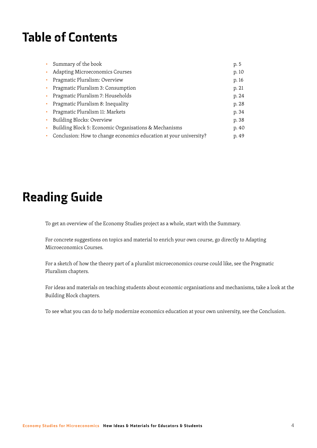# Table of Contents

|    | Summary of the book                                               | p. 5  |
|----|-------------------------------------------------------------------|-------|
|    | <b>Adapting Microeconomics Courses</b>                            | p. 10 |
| ×. | Pragmatic Pluralism: Overview                                     | p. 16 |
|    | Pragmatic Pluralism 3: Consumption                                | p. 21 |
|    | Pragmatic Pluralism 7: Households                                 | p. 24 |
| ۰. | Pragmatic Pluralism 8: Inequality                                 | p. 28 |
| ٠  | Pragmatic Pluralism 11: Markets                                   | p. 34 |
| ٠  | Building Blocks: Overview                                         | p. 38 |
|    | Building Block 5: Economic Organisations & Mechanisms             | p. 40 |
|    | Conclusion: How to change economics education at your university? | p. 49 |

# Reading Guide

To get an overview of the Economy Studies project as a whole, start with the Summary.

For concrete suggestions on topics and material to enrich your own course, go directly to Adapting Microeconomics Courses.

For a sketch of how the theory part of a pluralist microeconomics course could like, see the Pragmatic Pluralism chapters.

For ideas and materials on teaching students about economic organisations and mechanisms, take a look at the Building Block chapters.

To see what you can do to help modernize economics education at your own university, see the Conclusion.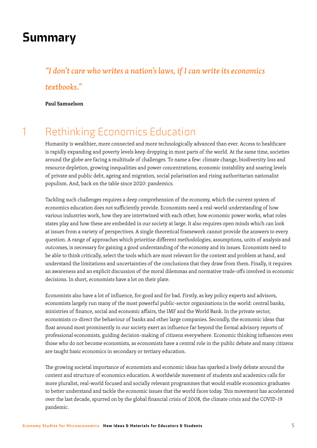# Summary

## *"I don't care who writes a nation's laws, if I can write its economics textbooks."*

#### **Paul Samuelson**

# 1 Rethinking Economics Education

Humanity is wealthier, more connected and more technologically advanced than ever. Access to healthcare is rapidly expanding and poverty levels keep dropping in most parts of the world. At the same time, societies around the globe are facing a multitude of challenges. To name a few: climate change, biodiversity loss and resource depletion, growing inequalities and power concentrations, economic instability and soaring levels of private and public debt, ageing and migration, social polarisation and rising authoritarian nationalist populism. And, back on the table since 2020: pandemics.

Tackling such challenges requires a deep comprehension of the economy, which the current system of economics education does not sufficiently provide. Economists need a real-world understanding of how various industries work, how they are intertwined with each other, how economic power works, what roles states play and how these are embedded in our society at large. It also requires open minds which can look at issues from a variety of perspectives. A single theoretical framework cannot provide the answers to every question. A range of approaches which prioritise different methodologies, assumptions, units of analysis and outcomes, is necessary for gaining a good understanding of the economy and its issues. Economists need to be able to think critically, select the tools which are most relevant for the context and problem at hand, and understand the limitations and uncertainties of the conclusions that they draw from them. Finally, it requires an awareness and an explicit discussion of the moral dilemmas and normative trade-offs involved in economic decisions. In short, economists have a lot on their plate.

Economists also have a lot of influence, for good and for bad. Firstly, as key policy experts and advisors, economists largely run many of the most powerful public-sector organisations in the world: central banks, ministries of finance, social and economic affairs, the IMF and the World Bank. In the private sector, economists co-direct the behaviour of banks and other large companies. Secondly, the economic ideas that float around most prominently in our society exert an influence far beyond the formal advisory reports of professional economists, guiding decision-making of citizens everywhere. Economic thinking influences even those who do not become economists, as economists have a central role in the public debate and many citizens are taught basic economics in secondary or tertiary education.

The growing societal importance of economists and economic ideas has sparked a lively debate around the content and structure of economics education. A worldwide movement of students and academics calls for more pluralist, real-world focused and socially relevant programmes that would enable economics graduates to better understand and tackle the economic issues that the world faces today. This movement has accelerated over the last decade, spurred on by the global financial crisis of 2008, the climate crisis and the COVID-19 pandemic.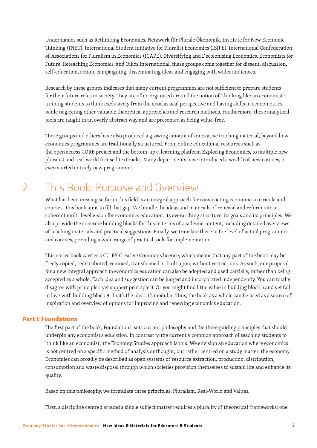Under names such as Rethinking Economics, Netzwerk für Plurale Ökonomik, Institute for New Economic Thinking (INET), International Student Initiative for Pluralist Economics (ISIPE), International Confederation of Associations for Pluralism in Economics (ICAPE), Diversifying and Decolonising Economics, Economists for Future, Reteaching Economics, and Oikos International, these groups come together for dissent, discussion, self-education, action, campaigning, disseminating ideas and engaging with wider audiences.

Research by these groups indicates that many current programmes are not sufficient to prepare students for their future roles in society. They are often organised around the notion of 'thinking like an economist': training students to think exclusively from the neoclassical perspective and having skills in econometrics, while neglecting other valuable theoretical approaches and research methods. Furthermore, these analytical tools are taught in an overly abstract way and are presented as being value-free.

These groups and others have also produced a growing amount of innovative teaching material, beyond how economics programmes are traditionally structured. From online educational resources such as the open access CORE project and the bottom-up e-learning platform Exploring Economics, to multiple new pluralist and real-world focused textbooks. Many departments have introduced a wealth of new courses, or even started entirely new programmes.

# 2 This Book: Purpose and Overview

What has been missing so far in this field is an integral approach for constructing economics curricula and courses. This book aims to fill that gap. We bundle the ideas and materials of renewal and reform into a coherent multi-level vision for economics education: its overarching structure, its goals and its principles. We also provide the concrete building blocks for this in terms of academic content, including detailed overviews of teaching materials and practical suggestions. Finally, we translate these to the level of actual programmes and courses, providing a wide range of practical tools for implementation.

This entire book carries a CC-BY Creative Commons licence, which means that any part of the book may be freely copied, redistributed, remixed, transformed or built upon, without restrictions. As such, our proposal for a new integral approach to economics education can also be adopted and used partially, rather than being accepted as a whole. Each idea and suggestion can be judged and incorporated independently. You can totally disagree with principle 1 yet support principle 3. Or you might find little value in building block 5 and yet fall in love with building block 9. That's the idea: it's modular. Thus, the book as a whole can be used as a source of inspiration and overview of options for improving and renewing economics education.

#### Part I: Foundations

The first part of the book, Foundations, sets out our philosophy and the three guiding principles that should underpin any economist's education. In contrast to the currently common approach of teaching students to 'think like an economist', the Economy Studies approach is this: We envision an education where economics is not centred on a specific method of analysis or thought, but rather centred on a study matter, the economy. Economies can broadly be described as open systems of resource extraction, production, distribution, consumption and waste disposal through which societies provision themselves to sustain life and enhance its quality.

Based on this philosophy, we formulate three principles: Pluralism, Real-World and Values.

First, a discipline centred around a single subject matter requires a plurality of theoretical frameworks: one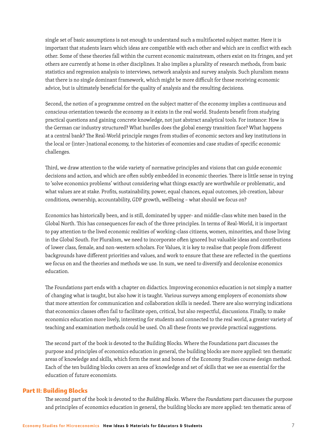single set of basic assumptions is not enough to understand such a multifaceted subject matter. Here it is important that students learn which ideas are compatible with each other and which are in conflict with each other. Some of these theories fall within the current economic mainstream, others exist on its fringes, and yet others are currently at home in other disciplines. It also implies a plurality of research methods, from basic statistics and regression analysis to interviews, network analysis and survey analysis. Such pluralism means that there is no single dominant framework, which might be more difficult for those receiving economic advice, but is ultimately beneficial for the quality of analysis and the resulting decisions.

Second, the notion of a programme centred on the subject matter of the economy implies a continuous and conscious orientation towards the economy as it exists in the real world. Students benefit from studying practical questions and gaining concrete knowledge, not just abstract analytical tools. For instance: How is the German car industry structured? What hurdles does the global energy transition face? What happens at a central bank? The Real-World principle ranges from studies of economic sectors and key institutions in the local or (inter-)national economy, to the histories of economies and case studies of specific economic challenges.

Third, we draw attention to the wide variety of normative principles and visions that can guide economic decisions and action, and which are often subtly embedded in economic theories. There is little sense in trying to 'solve economics problems' without considering what things exactly are worthwhile or problematic, and what values are at stake. Profits, sustainability, power, equal chances, equal outcomes, job creation, labour conditions, ownership, accountability, GDP growth, wellbeing – what should we focus on?

Economics has historically been, and is still, dominated by upper- and middle-class white men based in the Global North. This has consequences for each of the three principles. In terms of Real-World, it is important to pay attention to the lived economic realities of working-class citizens, women, minorities, and those living in the Global South. For Pluralism, we need to incorporate often ignored but valuable ideas and contributions of lower class, female, and non-western scholars. For Values, it is key to realise that people from different backgrounds have different priorities and values, and work to ensure that these are reflected in the questions we focus on and the theories and methods we use. In sum, we need to diversify and decolonise economics education.

The Foundations part ends with a chapter on didactics. Improving economics education is not simply a matter of changing what is taught, but also how it is taught. Various surveys among employers of economists show that more attention for communication and collaboration skills is needed. There are also worrying indications that economics classes often fail to facilitate open, critical, but also respectful, discussions. Finally, to make economics education more lively, interesting for students and connected to the real world, a greater variety of teaching and examination methods could be used. On all these fronts we provide practical suggestions.

The second part of the book is devoted to the Building Blocks. Where the Foundations part discusses the purpose and principles of economics education in general, the building blocks are more applied: ten thematic areas of knowledge and skills, which form the meat and bones of the Economy Studies course design method. Each of the ten building blocks covers an area of knowledge and set of skills that we see as essential for the education of future economists.

#### Part II: Building Blocks

The second part of the book is devoted to the *Building Blocks*. Where the *Foundations* part discusses the purpose and principles of economics education in general, the building blocks are more applied: ten thematic areas of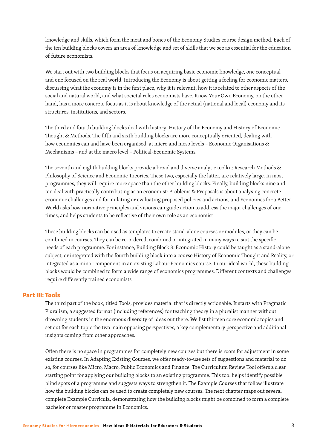knowledge and skills, which form the meat and bones of the Economy Studies course design method. Each of the ten building blocks covers an area of knowledge and set of skills that we see as essential for the education of future economists.

We start out with two building blocks that focus on acquiring basic economic knowledge, one conceptual and one focused on the real world. Introducing the Economy is about getting a feeling for economic matters, discussing what the economy is in the first place, why it is relevant, how it is related to other aspects of the social and natural world, and what societal roles economists have. Know Your Own Economy, on the other hand, has a more concrete focus as it is about knowledge of the actual (national and local) economy and its structures, institutions, and sectors.

The third and fourth building blocks deal with history: History of the Economy and History of Economic Thought & Methods. The fifth and sixth building blocks are more conceptually oriented, dealing with how economies can and have been organised, at micro and meso levels – Economic Organisations & Mechanisms – and at the macro level – Political-Economic Systems.

The seventh and eighth building blocks provide a broad and diverse analytic toolkit: Research Methods & Philosophy of Science and Economic Theories. These two, especially the latter, are relatively large. In most programmes, they will require more space than the other building blocks. Finally, building blocks nine and ten deal with practically contributing as an economist: Problems & Proposals is about analysing concrete economic challenges and formulating or evaluating proposed policies and actions, and Economics for a Better World asks how normative principles and visions can guide action to address the major challenges of our times, and helps students to be reflective of their own role as an economist

These building blocks can be used as templates to create stand-alone courses or modules, or they can be combined in courses. They can be re-ordered, combined or integrated in many ways to suit the specific needs of each programme. For instance, Building Block 3: Economic History could be taught as a stand-alone subject, or integrated with the fourth building block into a course History of Economic Thought and Reality, or integrated as a minor component in an existing Labour Economics course. In our ideal world, these building blocks would be combined to form a wide range of economics programmes. Different contexts and challenges require differently trained economists.

#### Part III: Tools

The third part of the book, titled Tools, provides material that is directly actionable. It starts with Pragmatic Pluralism, a suggested format (including references) for teaching theory in a pluralist manner without drowning students in the enormous diversity of ideas out there. We list thirteen core economic topics and set out for each topic the two main opposing perspectives, a key complementary perspective and additional insights coming from other approaches.

Often there is no space in programmes for completely new courses but there is room for adjustment in some existing courses. In Adapting Existing Courses, we offer ready-to-use sets of suggestions and material to do so, for courses like Micro, Macro, Public Economics and Finance. The Curriculum Review Tool offers a clear starting point for applying our building blocks to an existing programme. This tool helps identify possible blind spots of a programme and suggests ways to strengthen it. The Example Courses that follow illustrate how the building blocks can be used to create completely new courses. The next chapter maps out several complete Example Curricula, demonstrating how the building blocks might be combined to form a complete bachelor or master programme in Economics.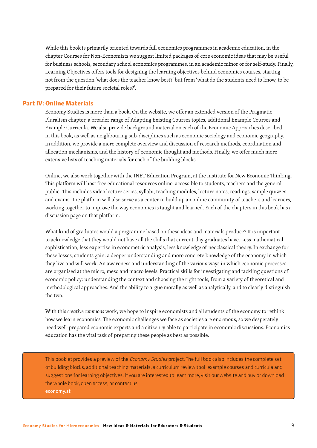While this book is primarily oriented towards full economics programmes in academic education, in the chapter Courses for Non-Economists we suggest limited packages of core economic ideas that may be useful for business schools, secondary school economics programmes, in an academic minor or for self-study. Finally, Learning Objectives offers tools for designing the learning objectives behind economics courses, starting not from the question 'what does the teacher know best?' but from 'what do the students need to know, to be prepared for their future societal roles?'.

#### Part IV: Online Materials

Economy Studies is more than a book. On the website, we offer an extended version of the Pragmatic Pluralism chapter, a broader range of Adapting Existing Courses topics, additional Example Courses and Example Curricula. We also provide background material on each of the Economic Approaches described in this book, as well as neighbouring sub-disciplines such as economic sociology and economic geography. In addition, we provide a more complete overview and discussion of research methods, coordination and allocation mechanisms, and the history of economic thought and methods. Finally, we offer much more extensive lists of teaching materials for each of the building blocks.

Online, we also work together with the INET Education Program, at the Institute for New Economic Thinking. This platform will host free educational resources online, accessible to students, teachers and the general public. This includes video lecture series, syllabi, teaching modules, lecture notes, readings, sample quizzes and exams. The platform will also serve as a center to build up an online community of teachers and learners, working together to improve the way economics is taught and learned. Each of the chapters in this book has a discussion page on that platform.

What kind of graduates would a programme based on these ideas and materials produce? It is important to acknowledge that they would not have all the skills that current-day graduates have. Less mathematical sophistication, less expertise in econometric analysis, less knowledge of neoclassical theory. In exchange for these losses, students gain: a deeper understanding and more concrete knowledge of the economy in which they live and will work. An awareness and understanding of the various ways in which economic processes are organised at the micro, meso and macro levels. Practical skills for investigating and tackling questions of economic policy: understanding the context and choosing the right tools, from a variety of theoretical and methodological approaches. And the ability to argue morally as well as analytically, and to clearly distinguish the two.

With this *creative commons* work, we hope to inspire economists and all students of the economy to rethink how we learn economics. The economic challenges we face as societies are enormous, so we desperately need well-prepared economic experts and a citizenry able to participate in economic discussions. Economics education has the vital task of preparing these people as best as possible.

This booklet provides a preview of the *Economy Studies* project. The full book also includes the complete set of building blocks, additional teaching materials, a curriculum review tool, example courses and curricula and suggestions for learning objectives. If you are interested to learn more, visit our website and buy or download the whole book, open access, or contact us. economy.st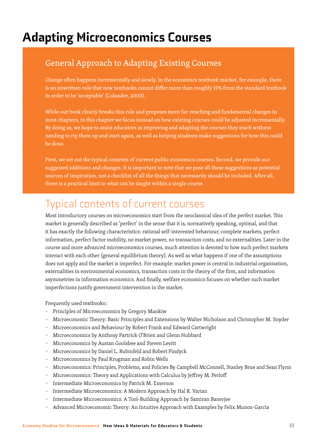# Adapting Microeconomics Courses

### General Approach to Adapting Existing Courses

Change often happens incrementally and slowly. In the economics textbook market, for example, there is an unwritten rule that new textbooks cannot differ more than roughly 15% from the standard textbook in order to be 'acceptable' (Colander, 2003).

While our book clearly breaks this rule and proposes more far-reaching and fundamental changes in most chapters, in this chapter we focus instead on how existing courses could be adjusted incrementally. By doing so, we hope to assist educators in improving and adapting the courses they teach without needing to rip them up and start again, as well as helping students make suggestions for how this could be done.

First, we set out the typical contents of current public economics courses. Second, we provide our suggested additions and changes. It is important to note that we pose all these suggestions as potential sources of inspiration, not a checklist of all the things that necessarily should be included. After all, there is a practical limit to what can be taught within a single course.

### Typical contents of current courses

Most introductory courses on microeconomics start from the neoclassical idea of the perfect market. This market is generally described as 'perfect' in the sense that it is, normatively speaking, optimal, and that it has exactly the following characteristics: rational self-interested behaviour, complete markets, perfect information, perfect factor mobility, no market power, no transaction costs, and no externalities. Later in the course and more advanced microeconomics courses, much attention is devoted to how such perfect markets interact with each other (general equilibrium theory). As well as what happens if one of the assumptions does not apply and the market is imperfect. For example: market power is central in industrial organisation, externalities in environmental economics, transaction costs in the theory of the firm, and information asymmetries in information economics. And finally, welfare economics focuses on whether such market imperfections justify government intervention in the market.

Frequently used textbooks::

- Principles of Microeconomics by Gregory Mankiw
- Microeconomic Theory: Basic Principles and Extensions by Walter Nicholson and Christopher M. Snyder
- Microeconomics and Behaviour by Robert Frank and Edward Cartwright
- Microeconomics by Anthony Partrick O'Brien and Glenn Hubbard
- Microeconomics by Austan Goolsbee and Steven Levitt
- Microeconomics by Daniel L. Rubinfeld and Robert Pindyck
- Microeconomics by Paul Krugman and Robin Wells
- Microeconomics: Principles, Problems, and Policies By Campbell McConnell, Stanley Brue and Sean Flynn
- Microeconomics: Theory and Applications with Calculus by Jeffrey M. Perloff
- Intermediate Microeconomics by Patrick M. Emerson
- Intermediate Microeconomics: A Modern Approach by Hal R. Varian
- Intermediate Microeconomics: A Tool-Building Approach by Samiran Banerjee
- Advanced Microeconomic Theory: An Intuitive Approach with Examples by Felix Munoz-Garcia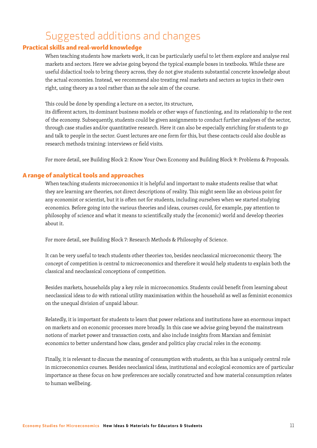### Suggested additions and changes

#### Practical skills and real-world knowledge

When teaching students how markets work, it can be particularly useful to let them explore and analyse real markets and sectors. Here we advise going beyond the typical example boxes in textbooks. While these are useful didactical tools to bring theory across, they do not give students substantial concrete knowledge about the actual economies. Instead, we recommend also treating real markets and sectors as topics in their own right, using theory as a tool rather than as the sole aim of the course.

This could be done by spending a lecture on a sector, its structure,

its different actors, its dominant business models or other ways of functioning, and its relationship to the rest of the economy. Subsequently, students could be given assignments to conduct further analyses of the sector, through case studies and/or quantitative research. Here it can also be especially enriching for students to go and talk to people in the sector. Guest lectures are one form for this, but these contacts could also double as research methods training: interviews or field visits.

For more detail, see Building Block 2: Know Your Own Economy and Building Block 9: Problems & Proposals.

#### A range of analytical tools and approaches

When teaching students microeconomics it is helpful and important to make students realise that what they are learning are theories, not direct descriptions of reality. This might seem like an obvious point for any economist or scientist, but it is often not for students, including ourselves when we started studying economics. Before going into the various theories and ideas, courses could, for example, pay attention to philosophy of science and what it means to scientifically study the (economic) world and develop theories about it.

For more detail, see Building Block 7: Research Methods & Philosophy of Science.

It can be very useful to teach students other theories too, besides neoclassical microeconomic theory. The concept of competition is central to microeconomics and therefore it would help students to explain both the classical and neoclassical conceptions of competition.

Besides markets, households play a key role in microeconomics. Students could benefit from learning about neoclassical ideas to do with rational utility maximisation within the household as well as feminist economics on the unequal division of unpaid labour.

Relatedly, it is important for students to learn that power relations and institutions have an enormous impact on markets and on economic processes more broadly. In this case we advise going beyond the mainstream notions of market power and transaction costs, and also include insights from Marxian and feminist economics to better understand how class, gender and politics play crucial roles in the economy.

Finally, it is relevant to discuss the meaning of consumption with students, as this has a uniquely central role in microeconomics courses. Besides neoclassical ideas, institutional and ecological economics are of particular importance as these focus on how preferences are socially constructed and how material consumption relates to human wellbeing.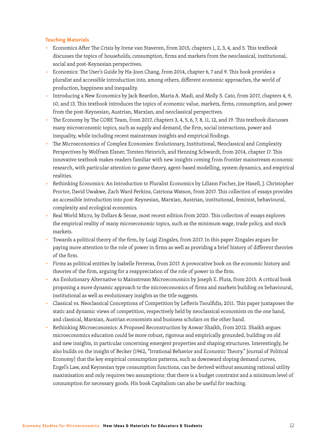#### Teaching Materials

- Economics After The Crisis by Irene van Staveren, from 2015, chapters 1, 2, 3, 4, and 5. This textbook discusses the topics of households, consumption, firms and markets from the neoclassical, institutional, social and post-Keynesian perspectives.
- Economics: The User's Guide by Ha-Joon Chang, from 2014, chapter 6, 7 and 9. This book provides a pluralist and accessible introduction into, among others, different economic approaches, the world of production, happiness and inequality.
- Introducing a New Economics by Jack Reardon, Maria A. Madi, and Molly S. Cato, from 2017, chapters 4, 9, 10, and 13. This textbook introduces the topics of economic value, markets, firms, consumption, and power from the post-Keynesian, Austrian, Marxian, and neoclassical perspectives.
- The Economy by The CORE Team, from 2017, chapters 3, 4, 5, 6, 7, 8, 11, 12, and 19. This textbook discusses many microeconomic topics, such as supply and demand, the firm, social interactions, power and inequality, while including recent mainstream insights and empirical findings.
- The Microeconomics of Complex Economies: Evolutionary, Institutional, Neoclassical and Complexity Perspectives by Wolfram Elsner, Torsten Heinrich, and Henning Schwardt, from 2014, chapter 17. This innovative textbook makes readers familiar with new insights coming from frontier mainstream economic research, with particular attention to game theory, agent-based modelling, system dynamics, and empirical realities.
- Rethinking Economics: An Introduction to Pluralist Economics by Liliann Fischer, Joe Hasell, J. Christopher Proctor, David Uwakwe, Zach Ward Perkins, Catriona Watson, from 2017. This collection of essays provides an accessible introduction into post-Keynesian, Marxian, Austrian, institutional, feminist, behavioural, complexity and ecological economics.
- Real World Micro, by Dollars & Sense, most recent edition from 2020. This collection of essays explores the empirical reality of many microeconomic topics, such as the minimum wage, trade policy, and stock markets.
- Towards a political theory of the firm, by Luigi Zingales, from 2017. In this paper Zingales argues for paying more attention to the role of power in firms as well as providing a brief history of different theories of the firm.
- Firms as political entities by Isabelle Ferreras, from 2017. A provocative book on the economic history and theories of the firm, arguing for a reappreciation of the role of power in the firm.
- An Evolutionary Alternative to Mainstream Microeconomics by Joseph E. Pluta, from 2015. A critical book proposing a more dynamic approach to the microeconomics of firms and markets building on behavioural, institutional as well as evolutionary insights as the title suggests.
- Classical vs. Neoclassical Conceptions of Competition by Lefteris Tsoulfidis, 2011. This paper juxtaposes the static and dynamic views of competition, respectively held by neoclassical economists on the one hand, and classical, Marxian, Austrian economists and business scholars on the other hand.
- Rethinking Microeconomics: A Proposed Reconstruction by Anwar Shaikh, from 2012. Shaikh argues microeconomics education could be more robust, rigorous and empirically grounded, building on old and new insights, in particular concerning emergent properties and shaping structures. Interestingly, he also builds on the insight of Becker (1962, "Irrational Behavior and Economic Theory." Journal of Political Economy) that the key empirical consumption patterns, such as downward sloping demand curves, Engel's Law, and Keynesian type consumption functions, can be derived without assuming rational utility maximisation and only requires two assumptions: that there is a budget constraint and a minimum level of consumption for necessary goods. His book Capitalism can also be useful for teaching.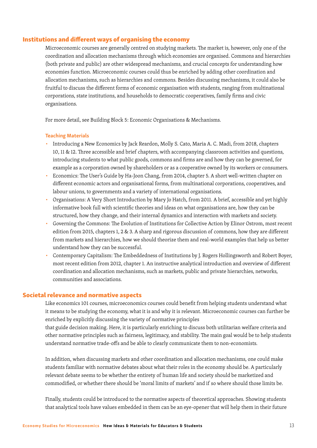#### Institutions and different ways of organising the economy

Microeconomic courses are generally centred on studying markets. The market is, however, only one of the coordination and allocation mechanisms through which economies are organised. Commons and hierarchies (both private and public) are other widespread mechanisms, and crucial concepts for understanding how economies function. Microeconomic courses could thus be enriched by adding other coordination and allocation mechanisms, such as hierarchies and commons. Besides discussing mechanisms, it could also be fruitful to discuss the different forms of economic organisation with students, ranging from multinational corporations, state institutions, and households to democratic cooperatives, family firms and civic organisations.

For more detail, see Building Block 5: Economic Organisations & Mechanisms.

#### Teaching Materials

- Introducing a New Economics by Jack Reardon, Molly S. Cato, Maria A. C. Madi, from 2018, chapters 10, 11 & 12. Three accessible and brief chapters, with accompanying classroom activities and questions, introducing students to what public goods, commons and firms are and how they can be governed, for example as a corporation owned by shareholders or as a cooperative owned by its workers or consumers.
- Economics: The User's Guide by Ha-Joon Chang, from 2014, chapter 5. A short well-written chapter on different economic actors and organisational forms, from multinational corporations, cooperatives, and labour unions, to governments and a variety of international organisations.
- Organisations: A Very Short Introduction by Mary Jo Hatch, from 2011. A brief, accessible and yet highly informative book full with scientific theories and ideas on what organisations are, how they can be structured, how they change, and their internal dynamics and interaction with markets and society.
- Governing the Commons: The Evolution of Institutions for Collective Action by Elinor Ostrom, most recent edition from 2015, chapters 1, 2 & 3. A sharp and rigorous discussion of commons, how they are different from markets and hierarchies, how we should theorize them and real-world examples that help us better understand how they can be successful.
- Contemporary Capitalism: The Embeddedness of Institutions by J. Rogers Hollingsworth and Robert Boyer, most recent edition from 2012, chapter 1. An instructive analytical introduction and overview of different coordination and allocation mechanisms, such as markets, public and private hierarchies, networks, communities and associations.

#### Societal relevance and normative aspects

Like economics 101 courses, microeconomics courses could benefit from helping students understand what it means to be studying the economy, what it is and why it is relevant. Microeconomic courses can further be enriched by explicitly discussing the variety of normative principles that guide decision making. Here, it is particularly enriching to discuss both utilitarian welfare criteria and other normative principles such as fairness, legitimacy, and stability. The main goal would be to help students understand normative trade-offs and be able to clearly communicate them to non-economists.

In addition, when discussing markets and other coordination and allocation mechanisms, one could make students familiar with normative debates about what their roles in the economy should be. A particularly relevant debate seems to be whether the entirety of human life and society should be marketized and commodified, or whether there should be 'moral limits of markets' and if so where should those limits be.

Finally, students could be introduced to the normative aspects of theoretical approaches. Showing students that analytical tools have values embedded in them can be an eye-opener that will help them in their future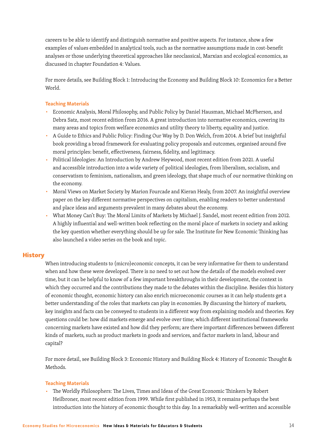careers to be able to identify and distinguish normative and positive aspects. For instance, show a few examples of values embedded in analytical tools, such as the normative assumptions made in cost-benefit analyses or those underlying theoretical approaches like neoclassical, Marxian and ecological economics, as discussed in chapter Foundation 4: Values.

For more details, see Building Block 1: Introducing the Economy and Building Block 10: Economics for a Better World.

#### Teaching Materials

- Economic Analysis, Moral Philosophy, and Public Policy by Daniel Hausman, Michael McPherson, and Debra Satz, most recent edition from 2016. A great introduction into normative economics, covering its many areas and topics from welfare economics and utility theory to liberty, equality and justice.
- A Guide to Ethics and Public Policy: Finding Our Way by D. Don Welch, from 2014. A brief but insightful book providing a broad framework for evaluating policy proposals and outcomes, organised around five moral principles: benefit, effectiveness, fairness, fidelity, and legitimacy.
- Political Ideologies: An Introduction by Andrew Heywood, most recent edition from 2021. A useful and accessible introduction into a wide variety of political ideologies, from liberalism, socialism, and conservatism to feminism, nationalism, and green ideology, that shape much of our normative thinking on the economy.
- Moral Views on Market Society by Marion Fourcade and Kieran Healy, from 2007. An insightful overview paper on the key different normative perspectives on capitalism, enabling readers to better understand and place ideas and arguments prevalent in many debates about the economy.
- What Money Can't Buy: The Moral Limits of Markets by Michael J. Sandel, most recent edition from 2012. A highly influential and well-written book reflecting on the moral place of markets in society and asking the key question whether everything should be up for sale. The Institute for New Economic Thinking has also launched a video series on the book and topic.

#### **History**

When introducing students to (micro)economic concepts, it can be very informative for them to understand when and how these were developed. There is no need to set out how the details of the models evolved over time, but it can be helpful to know of a few important breakthroughs in their development, the context in which they occurred and the contributions they made to the debates within the discipline. Besides this history of economic thought, economic history can also enrich microeconomic courses as it can help students get a better understanding of the roles that markets can play in economies. By discussing the history of markets, key insights and facts can be conveyed to students in a different way from explaining models and theories. Key questions could be: how did markets emerge and evolve over time; which different institutional frameworks concerning markets have existed and how did they perform; are there important differences between different kinds of markets, such as product markets in goods and services, and factor markets in land, labour and capital?

For more detail, see Building Block 3: Economic History and Building Block 4: History of Economic Thought & Methods.

#### Teaching Materials

■ The Worldly Philosophers: The Lives, Times and Ideas of the Great Economic Thinkers by Robert Heilbroner, most recent edition from 1999. While first published in 1953, it remains perhaps the best introduction into the history of economic thought to this day. In a remarkably well-written and accessible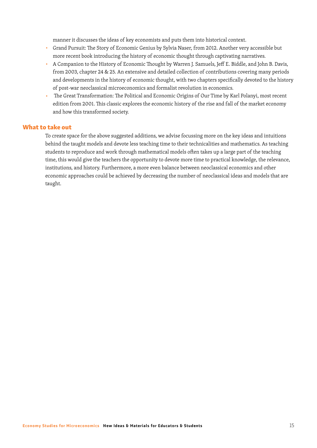manner it discusses the ideas of key economists and puts them into historical context.

- Grand Pursuit: The Story of Economic Genius by Sylvia Naser, from 2012. Another very accessible but more recent book introducing the history of economic thought through captivating narratives.
- A Companion to the History of Economic Thought by Warren J. Samuels, Jeff E. Biddle, and John B. Davis, from 2003, chapter 24 & 25. An extensive and detailed collection of contributions covering many periods and developments in the history of economic thought, with two chapters specifically devoted to the history of post-war neoclassical microeconomics and formalist revolution in economics.
- The Great Transformation: The Political and Economic Origins of Our Time by Karl Polanyi, most recent edition from 2001. This classic explores the economic history of the rise and fall of the market economy and how this transformed society.

#### What to take out

To create space for the above suggested additions, we advise focussing more on the key ideas and intuitions behind the taught models and devote less teaching time to their technicalities and mathematics. As teaching students to reproduce and work through mathematical models often takes up a large part of the teaching time, this would give the teachers the opportunity to devote more time to practical knowledge, the relevance, institutions, and history. Furthermore, a more even balance between neoclassical economics and other economic approaches could be achieved by decreasing the number of neoclassical ideas and models that are taught.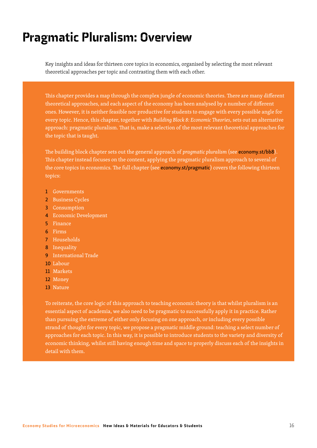# Pragmatic Pluralism: Overview

Key insights and ideas for thirteen core topics in economics, organised by selecting the most relevant theoretical approaches per topic and contrasting them with each other.

This chapter provides a map through the complex jungle of economic theories. There are many different theoretical approaches, and each aspect of the economy has been analysed by a number of different ones. However, it is neither feasible nor productive for students to engage with every possible angle for every topic. Hence, this chapter, together with *Building Block 8: Economic Theories*, sets out an alternative approach: pragmatic pluralism. That is, make a selection of the most relevant theoretical approaches for the topic that is taught.

The building block chapter sets out the general approach of *pragmatic pluralism* (see economy.st/bb8). This chapter instead focuses on the content, applying the pragmatic pluralism approach to several of the core topics in economics. The full chapter (see economy.st/pragmatic) covers the following thirteen topics:

- 1 Governments
- 2 Business Cycles
- 3 Consumption
- 4 Economic Development
- 5 Finance
- 6 Firms
- 7 Households
- 8 Inequality
- 9 International Trade
- 10 Labour
- 11 Markets
- 12 Money
- 13 Nature

To reiterate, the core logic of this approach to teaching economic theory is that whilst pluralism is an essential aspect of academia, we also need to be pragmatic to successfully apply it in practice. Rather than pursuing the extreme of either only focusing on one approach, or including every possible strand of thought for every topic, we propose a pragmatic middle ground: teaching a select number of approaches for each topic. In this way, it is possible to introduce students to the variety and diversity of economic thinking, whilst still having enough time and space to properly discuss each of the insights in detail with them.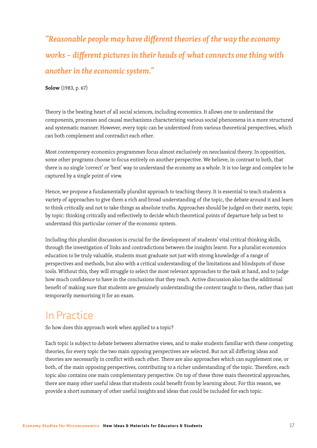*"Reasonable people may have different theories of the way the economy works − different pictures in their heads of what connects one thing with another in the economic system."* 

**Solow** (1983, p. 67)

Theory is the beating heart of all social sciences, including economics. It allows one to understand the components, processes and causal mechanisms characterising various social phenomena in a more structured and systematic manner. However, every topic can be understood from various theoretical perspectives, which can both complement and contradict each other.

Most contemporary economics programmes focus almost exclusively on neoclassical theory. In opposition, some other programs choose to focus entirely on another perspective. We believe, in contrast to both, that there is no single 'correct' or 'best' way to understand the economy as a whole. It is too large and complex to be captured by a single point of view.

Hence, we propose a fundamentally pluralist approach to teaching theory. It is essential to teach students a variety of approaches to give them a rich and broad understanding of the topic, the debate around it and learn to think critically and not to take things as absolute truths. Approaches should be judged on their merits, topic by topic: thinking critically and reflectively to decide which theoretical points of departure help us best to understand this particular corner of the economic system.

Including this pluralist discussion is crucial for the development of students' vital critical thinking skills, through the investigation of links and contradictions between the insights learnt. For a pluralist economics education to be truly valuable, students must graduate not just with strong knowledge of a range of perspectives and methods, but also with a critical understanding of the limitations and blindspots of those tools. Without this, they will struggle to select the most relevant approaches to the task at hand, and to judge how much confidence to have in the conclusions that they reach. Active discussion also has the additional benefit of making sure that students are genuinely understanding the content taught to them, rather than just temporarily memorising it for an exam.

### In Practice

So how does this approach work when applied to a topic?

Each topic is subject to debate between alternative views, and to make students familiar with these competing theories, for every topic the two main opposing perspectives are selected. But not all differing ideas and theories are necessarily in conflict with each other. There are also approaches which can supplement one, or both, of the main opposing perspectives, contributing to a richer understanding of the topic. Therefore, each topic also contains one main complementary perspective. On top of these three main theoretical approaches, there are many other useful ideas that students could benefit from by learning about. For this reason, we provide a short summary of other useful insights and ideas that could be included for each topic.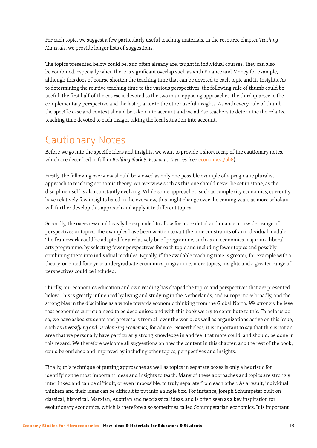For each topic, we suggest a few particularly useful teaching materials. In the resource chapter *Teaching Materials*, we provide longer lists of suggestions.

The topics presented below could be, and often already are, taught in individual courses. They can also be combined, especially when there is significant overlap such as with Finance and Money for example, although this does of course shorten the teaching time that can be devoted to each topic and its insights. As to determining the relative teaching time to the various perspectives, the following rule of thumb could be useful: the first half of the course is devoted to the two main opposing approaches, the third quarter to the complementary perspective and the last quarter to the other useful insights. As with every rule of thumb, the specific case and context should be taken into account and we advise teachers to determine the relative teaching time devoted to each insight taking the local situation into account.

### Cautionary Notes

Before we go into the specific ideas and insights, we want to provide a short recap of the cautionary notes, which are described in full in *Building Block 8: Economic Theories* (see economy.st/bb8).

Firstly, the following overview should be viewed as only one possible example of a pragmatic pluralist approach to teaching economic theory. An overview such as this one should never be set in stone, as the discipline itself is also constantly evolving. While some approaches, such as complexity economics, currently have relatively few insights listed in the overview, this might change over the coming years as more scholars will further develop this approach and apply it to different topics.

Secondly, the overview could easily be expanded to allow for more detail and nuance or a wider range of perspectives or topics. The examples have been written to suit the time constraints of an individual module. The framework could be adapted for a relatively brief programme, such as an economics major in a liberal arts programme, by selecting fewer perspectives for each topic and including fewer topics and possibly combining them into individual modules. Equally, if the available teaching time is greater, for example with a theory-oriented four year undergraduate economics programme, more topics, insights and a greater range of perspectives could be included.

Thirdly, our economics education and own reading has shaped the topics and perspectives that are presented below. This is greatly influenced by living and studying in the Netherlands, and Europe more broadly, and the strong bias in the discipline as a whole towards economic thinking from the Global North. We strongly believe that economics curricula need to be decolonised and with this book we try to contribute to this. To help us do so, we have asked students and professors from all over the world, as well as organizations active on this issue, such as *Diversifying and Decolonising Economics*, for advice. Nevertheless, it is important to say that this is not an area that we personally have particularly strong knowledge in and feel that more could, and should, be done in this regard. We therefore welcome all suggestions on how the content in this chapter, and the rest of the book, could be enriched and improved by including other topics, perspectives and insights.

Finally, this technique of putting approaches as well as topics in separate boxes is only a heuristic for identifying the most important ideas and insights to teach. Many of these approaches and topics are strongly interlinked and can be difficult, or even impossible, to truly separate from each other. As a result, individual thinkers and their ideas can be difficult to put into a single box. For instance, Joseph Schumpeter built on classical, historical, Marxian, Austrian and neoclassical ideas, and is often seen as a key inspiration for evolutionary economics, which is therefore also sometimes called Schumpetarian economics. It is important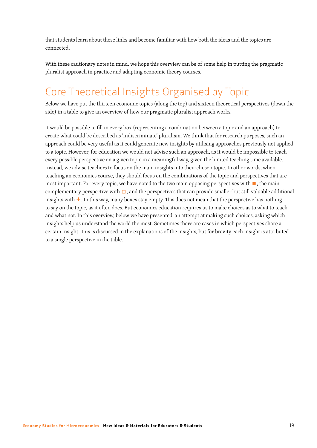that students learn about these links and become familiar with how both the ideas and the topics are connected.

With these cautionary notes in mind, we hope this overview can be of some help in putting the pragmatic pluralist approach in practice and adapting economic theory courses.

# Core Theoretical Insights Organised by Topic

Below we have put the thirteen economic topics (along the top) and sixteen theoretical perspectives (down the side) in a table to give an overview of how our pragmatic pluralist approach works.

It would be possible to fill in every box (representing a combination between a topic and an approach) to create what could be described as 'indiscriminate' pluralism. We think that for research purposes, such an approach could be very useful as it could generate new insights by utilising approaches previously not applied to a topic. However, for education we would not advise such an approach, as it would be impossible to teach every possible perspective on a given topic in a meaningful way, given the limited teaching time available. Instead, we advise teachers to focus on the main insights into their chosen topic. In other words, when teaching an economics course, they should focus on the combinations of the topic and perspectives that are most important. For every topic, we have noted to the two main opposing perspectives with ■, the main complementary perspective with  $\Box$ , and the perspectives that can provide smaller but still valuable additional insights with  $\pm$ . In this way, many boxes stay empty. This does not mean that the perspective has nothing to say on the topic, as it often does. But economics education requires us to make choices as to what to teach and what not. In this overview, below we have presented an attempt at making such choices, asking which insights help us understand the world the most. Sometimes there are cases in which perspectives share a certain insight. This is discussed in the explanations of the insights, but for brevity each insight is attributed to a single perspective in the table.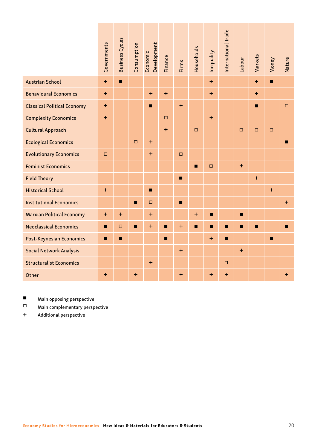|                                                                                                           | Governments      | <b>Business Cycles</b> | Consumption | Development<br>Economic | Finance          | <b>Firms</b>   | Households     | Inequality     | International Trade | Labour         | Markets        | Money          | Nature    |
|-----------------------------------------------------------------------------------------------------------|------------------|------------------------|-------------|-------------------------|------------------|----------------|----------------|----------------|---------------------|----------------|----------------|----------------|-----------|
| <b>Austrian School</b>                                                                                    | $\ddot{}$        | $\blacksquare$         |             |                         |                  |                |                | $\pm$          |                     |                | $\ddot{}$      | $\blacksquare$ |           |
| <b>Behavioural Economics</b>                                                                              | $\color{red}{+}$ |                        |             | $\ddot{}$               | $\ddot{}$        |                |                | $\ddot{}$      |                     |                | $\ddagger$     |                |           |
| <b>Classical Political Economy</b>                                                                        | $\color{red}{+}$ |                        |             | $\blacksquare$          |                  | $+$            |                |                |                     |                | $\blacksquare$ |                | $\Box$    |
| <b>Complexity Economics</b>                                                                               | $\ddot{}$        |                        |             |                         | $\Box$           |                |                | $\ddot{}$      |                     |                |                |                |           |
| Cultural Approach                                                                                         |                  |                        |             |                         | $\color{red}{+}$ |                | $\Box$         |                |                     | $\Box$         | $\Box$         | $\Box$         |           |
| <b>Ecological Economics</b>                                                                               |                  |                        | $\square$   | $\color{red}{+}$        |                  |                |                |                |                     |                |                |                | П         |
| <b>Evolutionary Economics</b>                                                                             | $\Box$           |                        |             | $\ddot{}$               |                  | $\Box$         |                |                |                     |                |                |                |           |
| <b>Feminist Economics</b>                                                                                 |                  |                        |             |                         |                  |                | $\blacksquare$ | $\Box$         |                     | $\ddot{}$      |                |                |           |
| <b>Field Theory</b>                                                                                       |                  |                        |             |                         |                  | $\blacksquare$ |                |                |                     |                | $\ddot{}$      |                |           |
| <b>Historical School</b>                                                                                  | $+$              |                        |             | $\blacksquare$          |                  |                |                |                |                     |                |                | $+$            |           |
| <b>Institutional Economics</b>                                                                            |                  |                        | П           | $\Box$                  |                  | П              |                |                |                     |                |                |                | $\ddot{}$ |
| <b>Marxian Political Economy</b>                                                                          | $\ddagger$       | $+$                    |             | $\ddot{}$               |                  |                | $\ddot{}$      | П              |                     | п              |                |                |           |
| <b>Neoclassical Economics</b>                                                                             | П                | $\Box$                 | П           | $\ddot{}$               | $\blacksquare$   | $\ddot{}$      | $\blacksquare$ | $\blacksquare$ | П                   | $\blacksquare$ | $\blacksquare$ |                | П         |
| Post-Keynesian Economics                                                                                  | $\blacksquare$   | $\blacksquare$         |             |                         | $\blacksquare$   |                |                | $\ddagger$     | $\blacksquare$      |                |                | $\blacksquare$ |           |
| Social Network Analysis                                                                                   |                  |                        |             |                         |                  | $\ddot{}$      |                |                |                     | $\ddag$        |                |                |           |
| <b>Structuralist Economics</b>                                                                            |                  |                        |             | $\ddot{}$               |                  |                |                |                | □                   |                |                |                |           |
| Other                                                                                                     | $+$              |                        | $+$         |                         |                  | $+$            |                | $+$            | $\pm$               |                |                |                | $+$       |
| П<br>Main opposing perspective<br>$\Box$<br>Main complementary perspective<br>Additional perspective<br>+ |                  |                        |             |                         |                  |                |                |                |                     |                |                |                |           |
| Economy Studies for Microeconomics New Ideas & Materials for Educators & Students                         |                  |                        |             |                         |                  |                |                |                |                     |                | 20             |                |           |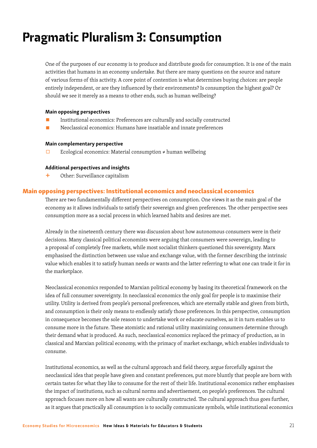# Pragmatic Pluralism 3: Consumption

One of the purposes of our economy is to produce and distribute goods for consumption. It is one of the main activities that humans in an economy undertake. But there are many questions on the source and nature of various forms of this activity. A core point of contention is what determines buying choices: are people entirely independent, or are they influenced by their environments? Is consumption the highest goal? Or should we see it merely as a means to other ends, such as human wellbeing?

#### Main opposing perspectives

- Institutional economics: Preferences are culturally and socially constructed
- Neoclassical economics: Humans have insatiable and innate preferences

#### Main complementary perspective

□ Ecological economics: Material consumption  $\neq$  human wellbeing

#### Additional perspectives and insights

+ Other: Surveillance capitalism

#### Main opposing perspectives: Institutional economics and neoclassical economics

There are two fundamentally different perspectives on consumption. One views it as the main goal of the economy as it allows individuals to satisfy their sovereign and given preferences. The other perspective sees consumption more as a social process in which learned habits and desires are met.

Already in the nineteenth century there was discussion about how autonomous consumers were in their decisions. Many classical political economists were arguing that consumers were sovereign, leading to a proposal of completely free markets, while most socialist thinkers questioned this sovereignty. Marx emphasised the distinction between use value and exchange value, with the former describing the intrinsic value which enables it to satisfy human needs or wants and the latter referring to what one can trade it for in the marketplace.

Neoclassical economics responded to Marxian political economy by basing its theoretical framework on the idea of full consumer sovereignty. In neoclassical economics the only goal for people is to maximise their utility. Utility is derived from people's personal preferences, which are eternally stable and given from birth, and consumption is their only means to endlessly satisfy those preferences. In this perspective, consumption in consequence becomes the sole reason to undertake work or educate ourselves, as it in turn enables us to consume more in the future. These atomistic and rational utility maximizing consumers determine through their demand what is produced. As such, neoclassical economics replaced the primacy of production, as in classical and Marxian political economy, with the primacy of market exchange, which enables individuals to consume.

Institutional economics, as well as the cultural approach and field theory, argue forcefully against the neoclassical idea that people have given and constant preferences, put more bluntly that people are born with certain tastes for what they like to consume for the rest of their life. Institutional economics rather emphasises the impact of institutions, such as cultural norms and advertisement, on people's preferences. The cultural approach focuses more on how all wants are culturally constructed. The cultural approach thus goes further, as it argues that practically all consumption is to socially communicate symbols, while institutional economics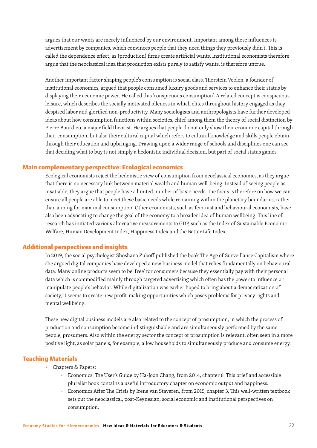argues that our wants are merely influenced by our environment. Important among those influences is advertisement by companies, which convinces people that they need things they previously didn't. This is called the dependence effect, as (production) firms create artificial wants. Institutional economists therefore argue that the neoclassical idea that production exists purely to satisfy wants, is therefore untrue.

Another important factor shaping people's consumption is social class. Thorstein Veblen, a founder of institutional economics, argued that people consumed luxury goods and services to enhance their status by displaying their economic power. He called this 'conspicuous consumption'. A related concept is conspicuous leisure, which describes the socially motivated idleness in which elites throughout history engaged as they despised labor and glorified non-productivity. Many sociologists and anthropologists have further developed ideas about how consumption functions within societies, chief among them the theory of social distinction by Pierre Bourdieu, a major field theorist. He argues that people do not only show their economic capital through their consumption, but also their cultural capital which refers to cultural knowledge and skills people obtain through their education and upbringing. Drawing upon a wider range of schools and disciplines one can see that deciding what to buy is not simply a hedonistic individual decision, but part of social status games.

#### Main complementary perspective: Ecological economics

Ecological economists reject the hedonistic view of consumption from neoclassical economics, as they argue that there is no necessary link between material wealth and human well-being. Instead of seeing people as insatiable, they argue that people have a limited number of basic needs. The focus is therefore on how we can ensure all people are able to meet these basic needs while remaining within the planetary boundaries, rather than aiming for maximal consumption. Other economists, such as feminist and behavioural economists, have also been advocating to change the goal of the economy to a broader idea of human wellbeing. This line of research has initiated various alternative measurements to GDP, such as the Index of Sustainable Economic Welfare, Human Development Index, Happiness Index and the Better Life Index.

#### Additional perspectives and insights

In 2019, the social psychologist Shoshana Zuboff published the book The Age of Surveillance Capitalism where she argued digital companies have developed a new business model that relies fundamentally on behavioural data. Many online products seem to be 'free' for consumers because they essentially pay with their personal data which is commodified mainly through targeted advertising which often has the power to influence or manipulate people's behavior. While digitalization was earlier hoped to bring about a democratization of society, it seems to create new profit-making opportunities which poses problems for privacy rights and mental wellbeing.

These new digital business models are also related to the concept of prosumption, in which the process of production and consumption become indistinguishable and are simultaneously performed by the same people, prosumers. Also within the energy sector the concept of prosumption is relevant, often seen in a more positive light, as solar panels, for example, allow households to simultaneously produce and consume energy.

#### Teaching Materials

- Chapters & Papers:
	- Economics: The User's Guide by Ha-Joon Chang, from 2014, chapter 6. This brief and accessible pluralist book contains a useful introductory chapter on economic output and happiness.
	- Economics After The Crisis by Irene van Staveren, from 2015, chapter 3. This well-written textbook sets out the neoclassical, post-Keynesian, social economic and institutional perspectives on consumption.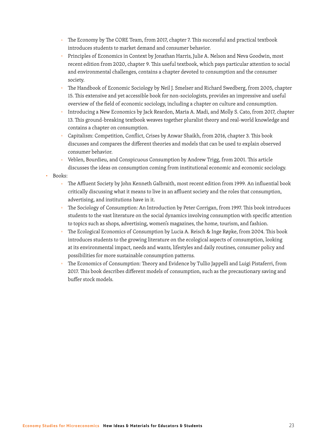- The Economy by The CORE Team, from 2017, chapter 7. This successful and practical textbook introduces students to market demand and consumer behavior.
- Principles of Economics in Context by Jonathan Harris, Julie A. Nelson and Neva Goodwin, most recent edition from 2020, chapter 9. This useful textbook, which pays particular attention to social and environmental challenges, contains a chapter devoted to consumption and the consumer society.
- The Handbook of Economic Sociology by Neil J. Smelser and Richard Swedberg, from 2005, chapter 15. This extensive and yet accessible book for non-sociologists, provides an impressive and useful overview of the field of economic sociology, including a chapter on culture and consumption.
- Introducing a New Economics by Jack Reardon, Maria A. Madi, and Molly S. Cato, from 2017, chapter 13. This ground-breaking textbook weaves together pluralist theory and real-world knowledge and contains a chapter on consumption.
- Capitalism: Competition, Conflict, Crises by Anwar Shaikh, from 2016, chapter 3. This book discusses and compares the different theories and models that can be used to explain observed consumer behavior.
- Veblen, Bourdieu, and Conspicuous Consumption by Andrew Trigg, from 2001. This article discusses the ideas on consumption coming from institutional economic and economic sociology.
- Books:
	- □ The Affluent Society by John Kenneth Galbraith, most recent edition from 1999. An influential book critically discussing what it means to live in an affluent society and the roles that consumption, advertising, and institutions have in it.
	- The Sociology of Consumption: An Introduction by Peter Corrigan, from 1997. This book introduces students to the vast literature on the social dynamics involving consumption with specific attention to topics such as shops, advertising, women's magazines, the home, tourism, and fashion.
	- The Ecological Economics of Consumption by Lucia A. Reisch & Inge Røpke, from 2004. This book introduces students to the growing literature on the ecological aspects of consumption, looking at its environmental impact, needs and wants, lifestyles and daily routines, consumer policy and possibilities for more sustainable consumption patterns.
	- The Economics of Consumption: Theory and Evidence by Tullio Jappelli and Luigi Pistaferri, from 2017. This book describes different models of consumption, such as the precautionary saving and buffer stock models.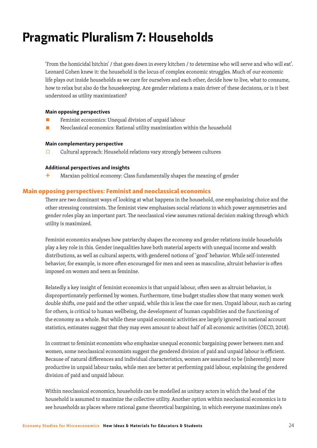# Pragmatic Pluralism 7: Households

'From the homicidal bitchin' / that goes down in every kitchen / to determine who will serve and who will eat'. Leonard Cohen knew it: the household is the locus of complex economic struggles. Much of our economic life plays out inside households as we care for ourselves and each other, decide how to live, what to consume, how to relax but also do the housekeeping. Are gender relations a main driver of these decisions, or is it best understood as utility maximization?

#### Main opposing perspectives

- Feminist economics: Unequal division of unpaid labour
- Neoclassical economics: Rational utility maximization within the household

#### Main complementary perspective

 $\Box$  Cultural approach: Household relations vary strongly between cultures

#### Additional perspectives and insights

 $+$  Marxian political economy: Class fundamentally shapes the meaning of gender

#### Main opposing perspectives: Feminist and neoclassical economics

There are two dominant ways of looking at what happens in the household, one emphasizing choice and the other stressing constraints. The feminist view emphasises social relations in which power asymmetries and gender roles play an important part. The neoclassical view assumes rational decision making through which utility is maximized.

Feminist economics analyses how patriarchy shapes the economy and gender relations inside households play a key role in this. Gender inequalities have both material aspects with unequal income and wealth distributions, as well as cultural aspects, with gendered notions of 'good' behavior. While self-interested behavior, for example, is more often encouraged for men and seen as masculine, altruist behavior is often imposed on women and seen as feminine.

Relatedly a key insight of feminist economics is that unpaid labour, often seen as altruist behavior, is disproportionately performed by women. Furthermore, time budget studies show that many women work double shifts, one paid and the other unpaid, while this is less the case for men. Unpaid labour, such as caring for others, is critical to human wellbeing, the development of human capabilities and the functioning of the economy as a whole. But while these unpaid economic activities are largely ignored in national account statistics, estimates suggest that they may even amount to about half of all economic activities (OECD, 2018).

In contrast to feminist economists who emphasize unequal economic bargaining power between men and women, some neoclassical economists suggest the gendered division of paid and unpaid labour is efficient. Because of natural differences and individual characteristics, women are assumed to be (inherently) more productive in unpaid labour tasks, while men are better at performing paid labour, explaining the gendered division of paid and unpaid labour.

Within neoclassical economics, households can be modelled as unitary actors in which the head of the household is assumed to maximize the collective utility. Another option within neoclassical economics is to see households as places where rational game theoretical bargaining, in which everyone maximizes one's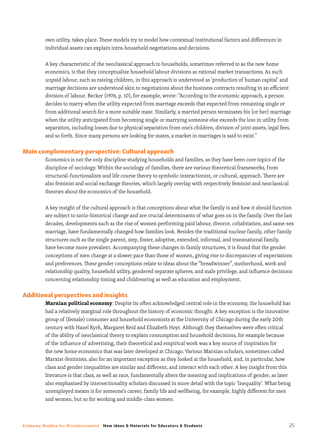own utility, takes place. These models try to model how contextual institutional factors and differences in individual assets can explain intra-household negotiations and decisions.

A key characteristic of the neoclassical approach to households, sometimes referred to as the new home economics, is that they conceptualize household labour divisions as rational market transactions. As such unpaid labour, such as raising children, in this approach is understood as 'production of human capital' and marriage decisions are understood akin to negotiations about the business contracts resulting in an efficient division of labour. Becker (1976, p. 10), for example, wrote: "According to the economic approach, a person decides to marry when the utility expected from marriage exceeds that expected from remaining single or from additional search for a more suitable mate. Similarly, a married person terminates his (or her) marriage when the utility anticipated from becoming single or marrying someone else exceeds the loss in utility from separation, including losses due to physical separation from one's children, division of joint assets, legal fees, and so forth. Since many persons are looking for mates, a market in marriages is said to exist."

#### Main complementary perspective: Cultural approach

Economics is not the only discipline studying households and families, as they have been core topics of the discipline of sociology. Within the sociology of families, there are various theoretical frameworks, from structural-functionalism and life course theory to symbolic interactionist, or cultural, approach. There are also feminist and social exchange theories, which largely overlap with respectively feminist and neoclassical theories about the economics of the household.

A key insight of the cultural approach is that conceptions about what the family is and how it should function are subject to socio-historical change and are crucial determinants of what goes on in the family. Over the last decades, developments such as the rise of women performing paid labour, divorce, cohabitation, and same-sex marriage, have fundamentally changed how families look. Besides the traditional nuclear family, other family structures such as the single parent, step, foster, adoptive, extended, informal, and transnational family, have become more prevalent. Accompanying these changes in family structures, it is found that the gender conceptions of men change at a slower pace than those of women, giving rise to discrepancies of expectations and preferences. These gender conceptions relate to ideas about the "breadwinner", motherhood, work and relationship quality, household utility, gendered separate spheres, and male privilege, and influence decisions concerning relationship timing and childrearing as well as education and employment.

#### Additional perspectives and insights

**Marxian political economy**: Despite its often acknowledged central role in the economy, the household has had a relatively marginal role throughout the history of economic thought. A key exception is the innovative group of (female) consumer and household economists at the University of Chicago during the early 20th century with Hazel Kyrk, Margaret Reid and Elizabeth Hoyt. Although they themselves were often critical of the ability of neoclassical theory to explain consumption and household decisions, for example because of the influence of advertising, their theoretical and empirical work was a key source of inspiration for the new home economics that was later developed at Chicago. Various Marxian scholars, sometimes called Marxist-feminists, also for an important exception as they looked at the household, and, in particular, how class and gender inequalities are similar and different, and interact with each other. A key insight from this literature is that class, as well as race, fundamentally alters the meaning and implications of gender, as later also emphasized by intersectionality scholars discussed in more detail with the topic 'Inequality'. What being unemployed means is for someone's career, family life and wellbeing, for example, highly different for men and women, but so for working and middle-class women.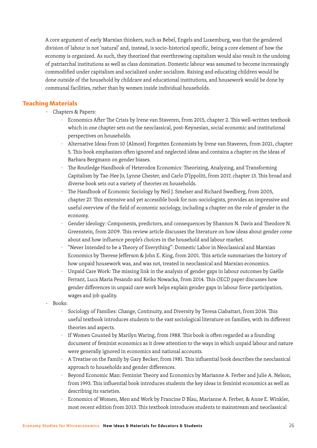A core argument of early Marxian thinkers, such as Bebel, Engels and Luxemburg, was that the gendered division of labour is not 'natural' and, instead, is socio-historical specific, being a core element of how the economy is organized. As such, they theorized that overthrowing capitalism would also result in the undoing of patriarchal institutions as well as class domination. Domestic labour was assumed to become increasingly commodified under capitalism and socialized under socialism. Raising and educating children would be done outside of the household by childcare and educational institutions, and housework would be done by communal facilities, rather than by women inside individual households.

#### Teaching Materials

- Chapters & Papers:
	- □ Economics After The Crisis by Irene van Staveren, from 2015, chapter 2. This well-written textbook which in one chapter sets out the neoclassical, post-Keynesian, social economic and institutional perspectives on households.
	- Alternative Ideas from 10 (Almost) Forgotten Economists by Irene van Staveren, from 2021, chapter 5. This book emphasizes often ignored and neglected ideas and contains a chapter on the ideas of Barbara Bergmann on gender biases.
	- The Routledge Handbook of Heterodox Economics: Theorizing, Analyzing, and Transforming Capitalism by Tae-Hee Jo, Lynne Chester, and Carlo D'Ippoliti, from 2017, chapter 13. This broad and diverse book sets out a variety of theories on households.
	- The Handbook of Economic Sociology by Neil J. Smelser and Richard Swedberg, from 2005, chapter 27. This extensive and yet accessible book for non-sociologists, provides an impressive and useful overview of the field of economic sociology, including a chapter on the role of gender in the economy.
	- <sup>o</sup> Gender ideology: Components, predictors, and consequences by Shannon N. Davis and Theodore N. Greenstein, from 2009. This review article discusses the literature on how ideas about gender come about and how influence people's choices in the household and labour market.
	- "Never Intended to be a Theory of Everything": Domestic Labor in Neoclassical and Marxian Economics by Therese Jefferson & John E. King, from 2001. This article summarizes the history of how unpaid housework was, and was not, treated in neoclassical and Marxian economics.
	- □ Unpaid Care Work: The missing link in the analysis of gender gaps in labour outcomes by Gaëlle Ferrant, Luca Maria Pesando and Keiko Nowacka, from 2014. This OECD paper discusses how gender differences in unpaid care work helps explain gender gaps in labour force participation, wages and job quality.
- Books:
	- Sociology of Families: Change, Continuity, and Diversity by Teresa Ciabattari, from 2016. This useful textbook introduces students to the vast sociological literature on families, with its different theories and aspects.
	- If Women Counted by Marilyn Waring, from 1988. This book is often regarded as a founding document of feminist economics as it drew attention to the ways in which unpaid labour and nature were generally ignored in economics and national accounts.
	- □ A Treatise on the Family by Gary Becker, from 1981. This influential book describes the neoclassical approach to households and gender differences.
	- Beyond Economic Man: Feminist Theory and Economics by Marianne A. Ferber and Julie A. Nelson, from 1993. This influential book introduces students the key ideas in feminist economics as well as describing its varieties.
	- Economics of Women, Men and Work by Francine D Blau, Marianne A. Ferber, & Anne E. Winkler, most recent edition from 2013. This textbook introduces students to mainstream and neoclassical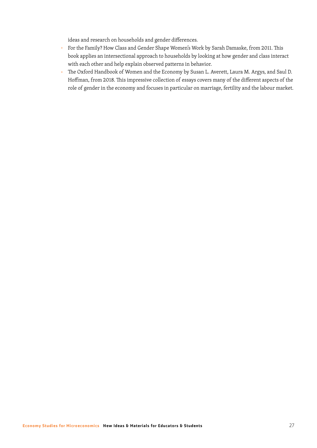ideas and research on households and gender differences.

- □ For the Family? How Class and Gender Shape Women's Work by Sarah Damaske, from 2011. This book applies an intersectional approach to households by looking at how gender and class interact with each other and help explain observed patterns in behavior.
- □ The Oxford Handbook of Women and the Economy by Susan L. Averett, Laura M. Argys, and Saul D. Hoffman, from 2018. This impressive collection of essays covers many of the different aspects of the role of gender in the economy and focuses in particular on marriage, fertility and the labour market.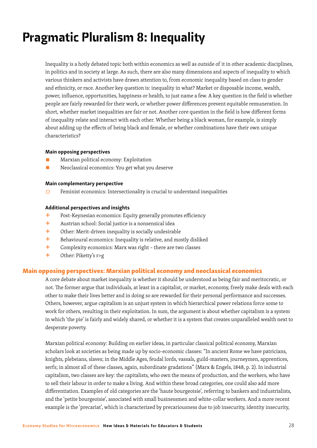# Pragmatic Pluralism 8: Inequality

Inequality is a hotly debated topic both within economics as well as outside of it in other academic disciplines, in politics and in society at large. As such, there are also many dimensions and aspects of inequality to which various thinkers and activists have drawn attention to, from economic inequality based on class to gender and ethnicity, or race. Another key question is: inequality in what? Market or disposable income, wealth, power, influence, opportunities, happiness or health, to just name a few. A key question in the field is whether people are fairly rewarded for their work, or whether power differences prevent equitable remuneration. In short, whether market inequalities are fair or not. Another core question in the field is how different forms of inequality relate and interact with each other. Whether being a black woman, for example, is simply about adding up the effects of being black and female, or whether combinations have their own unique characteristics?

#### Main opposing perspectives

- Marxian political economy: Exploitation
- Neoclassical economics: You get what you deserve

#### Main complementary perspective

 $\Box$  Feminist economics: Intersectionality is crucial to understand inequalities

#### Additional perspectives and insights

- + Post-Keynesian economics: Equity generally promotes efficiency
- + Austrian school: Social justice is <sup>a</sup> nonsensical idea
- $+$  Other: Merit-driven inequality is socially undesirable
- $+$  Behavioural economics: Inequality is relative, and mostly disliked
- $+$  Complexity economics: Marx was right there are two classes
- + Other: Piketty's r>g

#### Main opposing perspectives: Marxian political economy and neoclassical economics

A core debate about market inequality is whether it should be understood as being fair and meritocratic, or not. The former argue that individuals, at least in a capitalist, or market, economy, freely make deals with each other to make their lives better and in doing so are rewarded for their personal performance and successes. Others, however, argue capitalism is an unjust system in which hierarchical power relations force some to work for others, resulting in their exploitation. In sum, the argument is about whether capitalism is a system in which 'the pie' is fairly and widely shared, or whether it is a system that creates unparalleled wealth next to desperate poverty.

Marxian political economy: Building on earlier ideas, in particular classical political economy, Marxian scholars look at societies as being made up by socio-economic classes: "In ancient Rome we have patricians, knights, plebeians, slaves; in the Middle Ages, feudal lords, vassals, guild-masters, journeymen, apprentices, serfs; in almost all of these classes, again, subordinate gradations" (Marx & Engels, 1848, p. 2). In industrial capitalism, two classes are key: the capitalists, who own the means of production, and the workers, who have to sell their labour in order to make a living. And within these broad categories, one could also add more differentiation. Examples of old categories are the 'haute bourgeoisie', referring to bankers and industrialists, and the 'petite bourgeoisie', associated with small businessmen and white-collar workers. And a more recent example is the 'precariat', which is characterized by precariousness due to job insecurity, identity insecurity,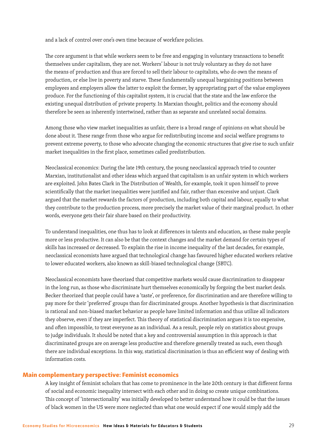and a lack of control over one's own time because of workfare policies.

The core argument is that while workers seem to be free and engaging in voluntary transactions to benefit themselves under capitalism, they are not. Workers' labour is not truly voluntary as they do not have the means of production and thus are forced to sell their labour to capitalists, who do own the means of production, or else live in poverty and starve. These fundamentally unequal bargaining positions between employees and employers allow the latter to exploit the former, by appropriating part of the value employees produce. For the functioning of this capitalist system, it is crucial that the state and the law enforce the existing unequal distribution of private property. In Marxian thought, politics and the economy should therefore be seen as inherently intertwined, rather than as separate and unrelated social domains.

Among those who view market inequalities as unfair, there is a broad range of opinions on what should be done about it. These range from those who argue for redistributing income and social welfare programs to prevent extreme poverty, to those who advocate changing the economic structures that give rise to such unfair market inequalities in the first place, sometimes called predistribution.

Neoclassical economics: During the late 19th century, the young neoclassical approach tried to counter Marxian, institutionalist and other ideas which argued that capitalism is an unfair system in which workers are exploited. John Bates Clark in The Distribution of Wealth, for example, took it upon himself to prove scientifically that the market inequalities were justified and fair, rather than excessive and unjust. Clark argued that the market rewards the factors of production, including both capital and labour, equally to what they contribute to the production process, more precisely the market value of their marginal product. In other words, everyone gets their fair share based on their productivity.

To understand inequalities, one thus has to look at differences in talents and education, as these make people more or less productive. It can also be that the context changes and the market demand for certain types of skills has increased or decreased. To explain the rise in income inequality of the last decades, for example, neoclassical economists have argued that technological change has favoured higher educated workers relative to lower educated workers, also known as skill-biased technological change (SBTC).

Neoclassical economists have theorized that competitive markets would cause discrimination to disappear in the long run, as those who discriminate hurt themselves economically by forgoing the best market deals. Becker theorized that people could have a 'taste', or preference, for discrimination and are therefore willing to pay more for their 'preferred' groups than for discriminated groups. Another hypothesis is that discrimination is rational and non-biased market behavior as people have limited information and thus utilize all indicators they observe, even if they are imperfect. This theory of statistical discrimination argues it is too expensive, and often impossible, to treat everyone as an individual. As a result, people rely on statistics about groups to judge individuals. It should be noted that a key and controversial assumption in this approach is that discriminated groups are on average less productive and therefore generally treated as such, even though there are individual exceptions. In this way, statistical discrimination is thus an efficient way of dealing with information costs.

#### Main complementary perspective: Feminist economics

A key insight of feminist scholars that has come to prominence in the late 20th century is that different forms of social and economic inequality intersect with each other and in doing so create unique combinations. This concept of 'intersectionality' was initially developed to better understand how it could be that the issues of black women in the US were more neglected than what one would expect if one would simply add the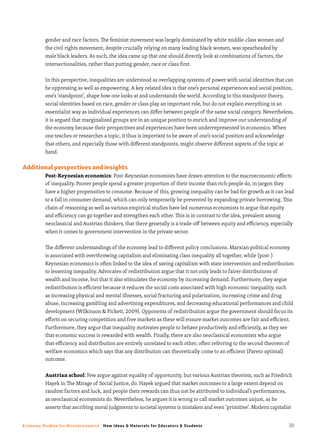gender and race factors. The feminist movement was largely dominated by white middle-class women and the civil rights movement, despite crucially relying on many leading black women, was spearheaded by male black leaders. As such, the idea came up that one should directly look at combinations of factors, the intersectionalities, rather than putting gender, race or class first.

In this perspective, inequalities are understood as overlapping systems of power with social identities that can be oppressing as well as empowering. A key related idea is that one's personal experiences and social position, one's 'standpoint', shape how one looks at and understands the world. According to this standpoint theory, social identities based on race, gender or class play an important role, but do not explain everything in an essentialist way as individual experiences can differ between people of the same social category. Nevertheless, it is argued that marginalized groups are in an unique position to enrich and improve our understanding of the economy because their perspectives and experiences have been underrepresented in economics. When one teaches or researches a topic, it thus is important to be aware of one's social position and acknowledge that others, and especially those with different standpoints, might observe different aspects of the topic at hand.

#### Additional perspectives and insights

**Post-Keynesian economics**: Post-Keynesian economists have drawn attention to the macroeconomic effects of inequality. Poorer people spend a greater proportion of their income than rich people do, in jargon they have a higher propensities to consume. Because of this, growing inequality can be bad for growth as it can lead to a fall in consumer demand, which can only temporarily be prevented by expanding private borrowing. This chain of reasoning as well as various empirical studies have led numerous economists to argue that equity and efficiency can go together and strengthen each other. This is in contrast to the idea, prevalent among neoclassical and Austrian thinkers, that there generally is a trade-off between equity and efficiency, especially when it comes to government intervention in the private sector.

The different understandings of the economy lead to different policy conclusions. Marxian political economy is associated with overthrowing capitalism and eliminating class inequality all together, while (post-) Keynesian economics is often linked to the idea of saving capitalism with state intervention and redistribution to lessening inequality. Advocates of redistribution argue that it not only leads to fairer distributions of wealth and income, but that it also stimulates the economy by increasing demand. Furthermore, they argue redistribution is efficient because it reduces the social costs associated with high economic inequality, such as increasing physical and mental illnesses, social fracturing and polarization, increasing crime and drug abuse, increasing gambling and advertising expenditures, and decreasing educational performances and child development (Wilkinson & Pickett, 2009). Opponents of redistribution argue the government should focus its efforts on securing competition and free markets as these will ensure market outcomes are fair and efficient. Furthermore, they argue that inequality motivates people to behave productively and efficiently, as they see that economic success is rewarded with wealth. Finally, there are also neoclassical economists who argue that efficiency and distribution are entirely unrelated to each other, often referring to the second theorem of welfare economics which says that any distribution can theoretically come to an efficient (Pareto optimal) outcome.

**Austrian school**: Few argue against equality of opportunity, but various Austrian theorists, such as Friedrich Hayek in The Mirage of Social Justice, do. Hayek argued that market outcomes to a large extent depend on random factors and luck, and people their rewards can thus not be attributed to individual's performances, as neoclassical economists do. Nevertheless, he argues it is wrong to call market outcomes unjust, as he asserts that ascribing moral judgments to societal systems is mistaken and even 'primitive'. Modern capitalist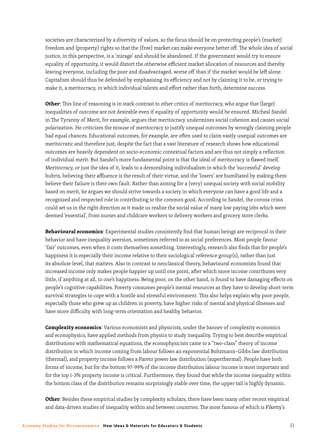societies are characterized by a diversity of values, so the focus should be on protecting people's (market) freedom and (property) rights so that the (free) market can make everyone better off. The whole idea of social justice, in this perspective, is a 'mirage' and should be abandoned. If the government would try to ensure equality of opportunity, it would distort the otherwise efficient market allocation of resources and thereby leaving everyone, including the poor and disadvantaged, worse off than if the market would be left alone. Capitalism should thus be defended by emphasising its efficiency and not by claiming it to be, or trying to make it, a meritocracy, in which individual talents and effort rather than birth, determine success.

**Other**: This line of reasoning is in stark contrast to other critics of meritocracy, who argue that (large) inequalities of outcome are not desirable even if equality of opportunity would be ensured. Micheal Sandel in The Tyranny of Merit, for example, argues that meritocracy undermines social cohesion and causes social polarization. He criticizes the misuse of meritocracy to justify unequal outcomes by wrongly claiming people had equal chances. Educational outcomes, for example, are often used to claim vastly unequal outcomes are meritocratic and therefore just, despite the fact that a vast literature of research shows how educational outcomes are heavily dependent on socio-economic contextual factors and are thus not simply a reflection of individual merit. But Sandel's more fundamental point is that the ideal of meritocracy is flawed itself. Meritocracy, or just the idea of it, leads to a demoralising individualism in which the 'successful' develop hubris, believing their affluence is the result of their virtue, and the 'losers' are humiliated by making them believe their failure is their own fault. Rather than aiming for a (very) unequal society with social mobility based on merit, he argues we should strive towards a society in which everyone can have a good life and a recognized and respected role in contributing to the common good. According to Sandel, the corona crisis could set us in the right direction as it made us realize the social value of many low paying jobs which were deemed 'essential', from nurses and childcare workers to delivery workers and grocery store clerks.

**Behavioural economics**: Experimental studies consistently find that human beings are reciprocal in their behavior and have inequality aversion, sometimes referred to as social preferences. Most people favour 'fair' outcomes, even when it costs themselves something. Interestingly, research also finds that for people's happiness it is especially their income relative to their sociological reference group(s), rather than just its absolute level, that matters. Also in contrast to neoclassical theory, behavioural economists found that increased income only makes people happier up until one point, after which more income contributes very little, if anything at all, to one's happiness. Being poor, on the other hand, is found to have damaging effects on people's cognitive capabilities. Poverty consumes people's mental resources as they have to develop short-term survival strategies to cope with a hostile and stressful environment. This also helps explain why poor people, especially those who grew up as children in poverty, have higher risks of mental and physical illnesses and have more difficulty with long-term orientation and healthy behavior.

**Complexity economics**: Various economists and physicists, under the banner of complexity economics and econophysics, have applied methods from physics to study inequality. Trying to best describe empirical distributions with mathematical equations, the econophysicists came to a "two-class" theory of income distribution in which income coming from labour follows an exponential Boltzmann–Gibbs law distribution (thermal), and property income follows a Pareto power law distribution (superthermal). People have both forms of income, but for the bottom 97-99% of the income distribution labour income is most important and for the top 1-3% property income is critical. Furthermore, they found that while the income inequality within the bottom class of the distribution remains surprisingly stable over time, the upper tail is highly dynamic.

**Other**: Besides these empirical studies by complexity scholars, there have been many other recent empirical and data-driven studies of inequality within and between countries. The most famous of which is Piketty's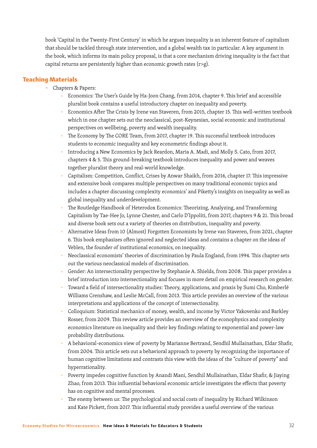book 'Capital in the Twenty-First Century' in which he argues inequality is an inherent feature of capitalism that should be tackled through state intervention, and a global wealth tax in particular. A key argument in the book, which informs its main policy proposal, is that a core mechanism driving inequality is the fact that capital returns are persistently higher than economic growth rates ( $r > g$ ).

#### Teaching Materials

- Chapters & Papers:
	- □ Economics: The User's Guide by Ha-Joon Chang, from 2014, chapter 9. This brief and accessible pluralist book contains a useful introductory chapter on inequality and poverty.
	- Economics After The Crisis by Irene van Staveren, from 2015, chapter 15. This well-written textbook which in one chapter sets out the neoclassical, post-Keynesian, social economic and institutional perspectives on wellbeing, poverty and wealth inequality.
	- The Economy by The CORE Team, from 2017, chapter 19. This successful textbook introduces students to economic inequality and key econometric findings about it.
	- <sup>o</sup> Introducing a New Economics by Jack Reardon, Maria A. Madi, and Molly S. Cato, from 2017, chapters 4 & 5. This ground-breaking textbook introduces inequality and power and weaves together pluralist theory and real-world knowledge.
	- □ Capitalism: Competition, Conflict, Crises by Anwar Shaikh, from 2016, chapter 17. This impressive and extensive book compares multiple perspectives on many traditional economic topics and includes a chapter discussing complexity economics' and Piketty's insights on inequality as well as global inequality and underdevelopment.
	- The Routledge Handbook of Heterodox Economics: Theorizing, Analyzing, and Transforming Capitalism by Tae-Hee Jo, Lynne Chester, and Carlo D'Ippoliti, from 2017, chapters 9 & 21. This broad and diverse book sets out a variety of theories on distribution, inequality and poverty.
	- Alternative Ideas from 10 (Almost) Forgotten Economists by Irene van Staveren, from 2021, chapter 6. This book emphasizes often ignored and neglected ideas and contains a chapter on the ideas of Veblen, the founder of institutional economics, on inequality.
	- Neoclassical economists' theories of discrimination by Paula England, from 1994. This chapter sets out the various neoclassical models of discrimination.
	- □ Gender: An intersectionality perspective by Stephanie A. Shields, from 2008. This paper provides a brief introduction into intersectionality and focuses in more detail on empirical research on gender.
	- Toward a field of intersectionality studies: Theory, applications, and praxis by Sumi Cho, Kimberlé Williams Crenshaw, and Leslie McCall, from 2013. This article provides an overview of the various interpretations and applications of the concept of intersectionality.
	- Colloquium: Statistical mechanics of money, wealth, and income by Victor Yakovenko and Barkley Rosser, from 2009. This review article provides an overview of the econophysics and complexity economics literature on inequality and their key findings relating to exponential and power-law probability distributions.
	- □ A behavioral-economics view of poverty by Marianne Bertrand, Sendhil Mullainathan, Eldar Shafir, from 2004. This article sets out a behavioral approach to poverty by recognizing the importance of human cognitive limitations and contrasts this view with the ideas of the "culture of poverty" and hyperrationality.
	- Poverty impedes cognitive function by Anandi Mani, Sendhil Mullainathan, Eldar Shafir, & Jiaying Zhao, from 2013. This influential behavioral economic article investigates the effects that poverty has on cognitive and mental processes.
	- The enemy between us: The psychological and social costs of inequality by Richard Wilkinson and Kate Pickett, from 2017. This influential study provides a useful overview of the various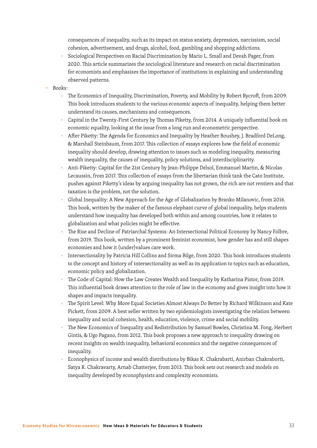consequences of inequality, such as its impact on status anxiety, depression, narcissism, social cohesion, advertisement, and drugs, alcohol, food, gambling and shopping addictions.

- □ Sociological Perspectives on Racial Discrimination by Mario L. Small and Devah Pager, from 2020. This article summarizes the sociological literature and research on racial discrimination for economists and emphasizes the importance of institutions in explaining and understanding observed patterns.
- Books:
	- The Economics of Inequality, Discrimination, Poverty, and Mobility by Robert Rycroft, from 2009. This book introduces students to the various economic aspects of inequality, helping them better understand its causes, mechanisms and consequences.
	- □ Capital in the Twenty-First Century by Thomas Piketty, from 2014. A uniquely influential book on economic equality, looking at the issue from a long run and econometric perspective.
	- After Piketty: The Agenda for Economics and Inequality by Heather Boushey, J. Bradford DeLong, & Marshall Steinbaum, from 2017. This collection of essays explores how the field of economic inequality should develop, drawing attention to issues such as modeling inequality, measuring wealth inequality, the causes of inequality, policy solutions, and interdisciplinarity.
	- □ Anti-Piketty: Capital for the 21st Century by Jean-Philippe Delsol, Emmanuel Martin, & Nicolas Lecaussin, from 2017. This collection of essays from the libertarian think tank the Cato Institute, pushes against Piketty's ideas by arguing inequality has not grown, the rich are not rentiers and that taxation is the problem, not the solution.
	- Global Inequality: A New Approach for the Age of Globalization by Branko Milanovic, from 2016. This book, written by the maker of the famous elephant curve of global inequality, helps students understand how inequality has developed both within and among countries, how it relates to globalization and what policies might be effective.
	- The Rise and Decline of Patriarchal Systems: An Intersectional Political Economy by Nancy Folbre, from 2019. This book, written by a prominent feminist economist, how gender has and still shapes economies and how it (under)values care work.
	- Intersectionality by Patricia Hill Collins and Sirma Bilge, from 2020. This book introduces students to the concept and history of intersectionality as well as its application to topics such as education, economic policy and globalization.
	- The Code of Capital: How the Law Creates Wealth and Inequality by Katharina Pistor, from 2019. This influential book draws attention to the role of law in the economy and gives insight into how it shapes and impacts inequality.
	- The Spirit Level: Why More Equal Societies Almost Always Do Better by Richard Wilkinson and Kate Pickett, from 2009. A best seller written by two epidemiologists investigating the relation between inequality and social cohesion, health, education, violence, crime and social mobility.
	- The New Economics of Inequality and Redistribution by Samuel Bowles, Christina M. Fong, Herbert Gintis, & Ugo Pagano, from 2012. This book proposes a new approach to inequality drawing on recent insights on wealth inequality, behavioral economics and the negative consequences of inequality.
	- Econophysics of income and wealth distributions by Bikas K. Chakrabarti, Anirban Chakraborti, Satya R. Chakravarty, Arnab Chatterjee, from 2013. This book sets out research and models on inequality developed by econophysists and complexity economists.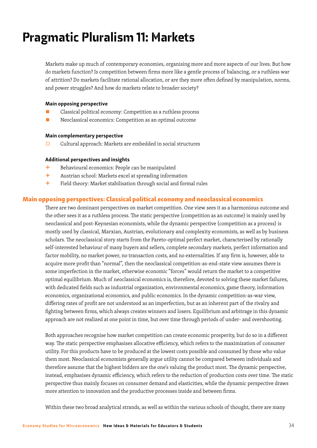# Pragmatic Pluralism 11: Markets

Markets make up much of contemporary economies, organising more and more aspects of our lives. But how do markets function? Is competition between firms more like a gentle process of balancing, or a ruthless war of attrition? Do markets facilitate rational allocation, or are they more often defined by manipulation, norms, and power struggles? And how do markets relate to broader society?

#### Main opposing perspective

- Classical political economy: Competition as a ruthless process
- Neoclassical economics: Competition as an optimal outcome

#### Main complementary perspective

□ Cultural approach: Markets are embedded in social structures

#### Additional perspectives and insights

- + Behavioural economics: People can be manipulated
- + Austrian school: Markets excel at spreading information
- $+$  Field theory: Market stabilisation through social and formal rules

#### Main opposing perspectives: Classical political economy and neoclassical economics

There are two dominant perspectives on market competition. One view sees it as a harmonious outcome and the other sees it as a ruthless process. The static perspective (competition as an outcome) is mainly used by neoclassical and post-Keynesian economists, while the dynamic perspective (competition as a process) is mostly used by classical, Marxian, Austrian, evolutionary and complexity economists, as well as by business scholars. The neoclassical story starts from the Pareto-optimal perfect market, characterised by rationally self-interested behaviour of many buyers and sellers, complete secondary markets, perfect information and factor mobility, no market power, no transaction costs, and no externalities. If any firm is, however, able to acquire more profit than "normal", then the neoclassical competition-as-end-state view assumes there is some imperfection in the market, otherwise economic "forces" would return the market to a competitive optimal equilibrium. Much of neoclassical economics is, therefore, devoted to solving these market failures, with dedicated fields such as industrial organization, environmental economics, game theory, information economics, organizational economics, and public economics. In the dynamic competition-as-war view, differing rates of profit are not understood as an imperfection, but as an inherent part of the rivalry and fighting between firms, which always creates winners and losers. Equilibrium and arbitrage in this dynamic approach are not realized at one point in time, but over time through periods of under- and overshooting.

Both approaches recognise how market competition can create economic prosperity, but do so in a different way. The static perspective emphasises allocative efficiency, which refers to the maximization of consumer utility. For this products have to be produced at the lowest costs possible and consumed by those who value them most. Neoclassical economists generally argue utility cannot be compared between individuals and therefore assume that the highest bidders are the one's valuing the product most. The dynamic perspective, instead, emphasises dynamic efficiency, which refers to the reduction of production costs over time. The static perspective thus mainly focuses on consumer demand and elasticities, while the dynamic perspective draws more attention to innovation and the productive processes inside and between firms.

Within these two broad analytical strands, as well as within the various schools of thought, there are many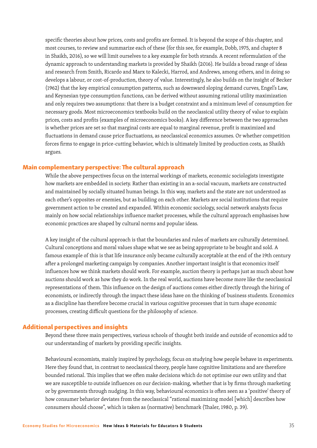specific theories about how prices, costs and profits are formed. It is beyond the scope of this chapter, and most courses, to review and summarize each of these (for this see, for example, Dobb, 1975, and chapter 8 in Shaikh, 2016), so we will limit ourselves to a key example for both strands. A recent reformulation of the dynamic approach to understanding markets is provided by Shaikh (2016). He builds a broad range of ideas and research from Smith, Ricardo and Marx to Kalecki, Harrod, and Andrews, among others, and in doing so develops a labour, or cost-of-production, theory of value. Interestingly, he also builds on the insight of Becker (1962) that the key empirical consumption patterns, such as downward sloping demand curves, Engel's Law, and Keynesian type consumption functions, can be derived without assuming rational utility maximization and only requires two assumptions: that there is a budget constraint and a minimum level of consumption for necessary goods. Most microeconomics textbooks build on the neoclassical utility theory of value to explain prices, costs and profits (examples of microeconomics books). A key difference between the two approaches is whether prices are set so that marginal costs are equal to marginal revenue, profit is maximized and fluctuations in demand cause price fluctuations, as neoclassical economics assumes. Or whether competition forces firms to engage in price-cutting behavior, which is ultimately limited by production costs, as Shaikh argues.

#### Main complementary perspective: The cultural approach

While the above perspectives focus on the internal workings of markets, economic sociologists investigate how markets are embedded in society. Rather than existing in an a-social vacuum, markets are constructed and maintained by socially situated human beings. In this way, markets and the state are not understood as each other's opposites or enemies, but as building on each other. Markets are social institutions that require government action to be created and expanded. Within economic sociology, social network analysts focus mainly on how social relationships influence market processes, while the cultural approach emphasises how economic practices are shaped by cultural norms and popular ideas.

A key insight of the cultural approach is that the boundaries and rules of markets are culturally determined. Cultural conceptions and moral values shape what we see as being appropriate to be bought and sold. A famous example of this is that life insurance only became culturally acceptable at the end of the 19th century after a prolonged marketing campaign by companies. Another important insight is that economics itself influences how we think markets should work. For example, auction theory is perhaps just as much about how auctions should work as how they do work. In the real world, auctions have become more like the neoclassical representations of them. This influence on the design of auctions comes either directly through the hiring of economists, or indirectly through the impact these ideas have on the thinking of business students. Economics as a discipline has therefore become crucial in various cognitive processes that in turn shape economic processes, creating difficult questions for the philosophy of science.

#### Additional perspectives and insights

Beyond these three main perspectives, various schools of thought both inside and outside of economics add to our understanding of markets by providing specific insights.

Behavioural economists, mainly inspired by psychology, focus on studying how people behave in experiments. Here they found that, in contrast to neoclassical theory, people have cognitive limitations and are therefore bounded rational. This implies that we often make decisions which do not optimise our own utility and that we are susceptible to outside influences on our decision-making, whether that is by firms through marketing or by governments through nudging. In this way, behavioural economics is often seen as a 'positive' theory of how consumer behavior deviates from the neoclassical "rational maximizing model [which] describes how consumers should choose", which is taken as (normative) benchmark (Thaler, 1980, p. 39).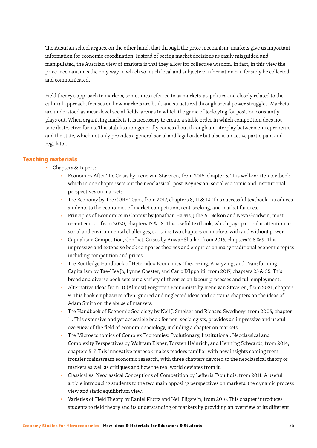The Austrian school argues, on the other hand, that through the price mechanism, markets give us important information for economic coordination. Instead of seeing market decisions as easily misguided and manipulated, the Austrian view of markets is that they allow for collective wisdom. In fact, in this view the price mechanism is the only way in which so much local and subjective information can feasibly be collected and communicated.

Field theory's approach to markets, sometimes referred to as markets-as-politics and closely related to the cultural approach, focuses on how markets are built and structured through social power struggles. Markets are understood as meso-level social fields, arenas in which the game of jockeying for position constantly plays out. When organising markets it is necessary to create a stable order in which competition does not take destructive forms. This stabilisation generally comes about through an interplay between entrepreneurs and the state, which not only provides a general social and legal order but also is an active participant and regulator.

#### Teaching materials

- Chapters & Papers:
	- Economics After The Crisis by Irene van Staveren, from 2015, chapter 5. This well-written textbook which in one chapter sets out the neoclassical, post-Keynesian, social economic and institutional perspectives on markets.
	- The Economy by The CORE Team, from 2017, chapters 8, 11 & 12. This successful textbook introduces students to the economics of market competition, rent-seeking, and market failures.
	- Principles of Economics in Context by Jonathan Harris, Julie A. Nelson and Neva Goodwin, most recent edition from 2020, chapters 17 & 18. This useful textbook, which pays particular attention to social and environmental challenges, contains two chapters on markets with and without power.
	- Capitalism: Competition, Conflict, Crises by Anwar Shaikh, from 2016, chapters 7, 8 & 9. This impressive and extensive book compares theories and empirics on many traditional economic topics including competition and prices.
	- □ The Routledge Handbook of Heterodox Economics: Theorizing, Analyzing, and Transforming Capitalism by Tae-Hee Jo, Lynne Chester, and Carlo D'Ippoliti, from 2017, chapters 25 & 35. This broad and diverse book sets out a variety of theories on labour processes and full employment.
	- Alternative Ideas from 10 (Almost) Forgotten Economists by Irene van Staveren, from 2021, chapter 9. This book emphasizes often ignored and neglected ideas and contains chapters on the ideas of Adam Smith on the abuse of markets.
	- The Handbook of Economic Sociology by Neil J. Smelser and Richard Swedberg, from 2005, chapter 11. This extensive and yet accessible book for non-sociologists, provides an impressive and useful overview of the field of economic sociology, including a chapter on markets.
	- □ The Microeconomics of Complex Economies: Evolutionary, Institutional, Neoclassical and Complexity Perspectives by Wolfram Elsner, Torsten Heinrich, and Henning Schwardt, from 2014, chapters 5-7. This innovative textbook makes readers familiar with new insights coming from frontier mainstream economic research, with three chapters devoted to the neoclassical theory of markets as well as critiques and how the real world deviates from it.
	- Classical vs. Neoclassical Conceptions of Competition by Lefteris Tsoulfidis, from 2011. A useful article introducing students to the two main opposing perspectives on markets: the dynamic process view and static equilibrium view.
	- Varieties of Field Theory by Daniel Kluttz and Neil Fligstein, from 2016. This chapter introduces students to field theory and its understanding of markets by providing an overview of its different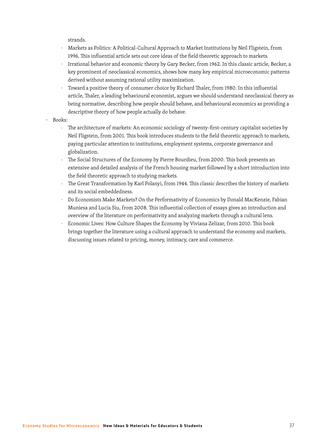strands.

- <sup>o</sup> Markets as Politics: A Political-Cultural Approach to Market Institutions by Neil Fligstein, from 1996. This influential article sets out core ideas of the field theoretic approach to markets.
- □ Irrational behavior and economic theory by Gary Becker, from 1962. In this classic article, Becker, a key prominent of neoclassical economics, shows how many key empirical microeconomic patterns derived without assuming rational utility maximization.
- □ Toward a positive theory of consumer choice by Richard Thaler, from 1980. In this influential article, Thaler, a leading behavioural economist, argues we should understand neoclassical theory as being normative, describing how people should behave, and behavioural economics as providing a descriptive theory of how people actually do behave.
- Books:
	- □ The architecture of markets: An economic sociology of twenty-first-century capitalist societies by Neil Fligstein, from 2001. This book introduces students to the field theoretic approach to markets, paying particular attention to institutions, employment systems, corporate governance and globalization.
	- The Social Structures of the Economy by Pierre Bourdieu, from 2000. This book presents an extensive and detailed analysis of the French housing market followed by a short introduction into the field theoretic approach to studying markets.
	- The Great Transformation by Karl Polanyi, from 1944. This classic describes the history of markets and its social embeddedness.
	- □ Do Economists Make Markets? On the Performativity of Economics by Donald MacKenzie, Fabian Muniesa and Lucia Siu, from 2008. This influential collection of essays gives an introduction and overview of the literature on performativity and analyzing markets through a cultural lens.
	- Economic Lives: How Culture Shapes the Economy by Viviana Zelizar, from 2010. This book brings together the literature using a cultural approach to understand the economy and markets, discussing issues related to pricing, money, intimacy, care and commerce.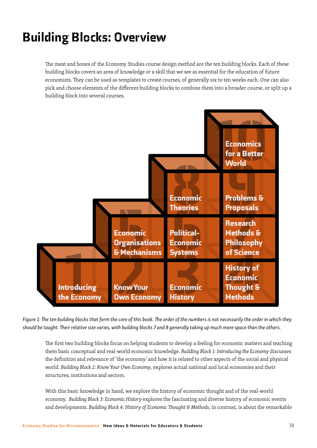# Building Blocks: Overview

The meat and bones of the Economy Studies course design method are the ten building blocks. Each of these building blocks covers an area of knowledge or a skill that we see as essential for the education of future economists. They can be used as templates to create courses, of generally six to ten weeks each. One can also pick and choose elements of the different building blocks to combine them into a broader course, or split up a building block into several courses.



*Figure 1: The ten building blocks that form the core of this book. The order of the numbers is not necessarily the order in which they should be taught. Their relative size varies, with building blocks 7 and 8 generally taking up much more space than the others.* 

The first two building blocks focus on helping students to develop a feeling for economic matters and teaching them basic conceptual and real-world economic knowledge. *Building Block 1: Introducing the Economy* discusses the definition and relevance of 'the economy' and how it is related to other aspects of the social and physical world. *Building Block 2: Know Your Own Economy*, explores actual national and local economies and their structures, institutions and sectors.

With this basic knowledge in hand, we explore the history of economic thought and of the real-world economy. *Building Block 3: Economic History* explores the fascinating and diverse history of economic events and developments. *Building Block 4: History of Economic Thought & Methods*, in contrast, is about the remarkable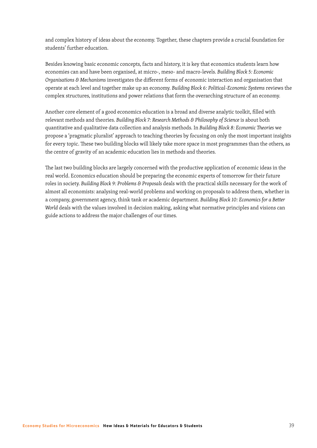and complex history of ideas about the economy. Together, these chapters provide a crucial foundation for students' further education.

Besides knowing basic economic concepts, facts and history, it is key that economics students learn how economies can and have been organised, at micro-, meso- and macro-levels. *Building Block 5: Economic Organisations & Mechanisms* investigates the different forms of economic interaction and organisation that operate at each level and together make up an economy. *Building Block 6: Political-Economic Systems* reviews the complex structures, institutions and power relations that form the overarching structure of an economy.

Another core element of a good economics education is a broad and diverse analytic toolkit, filled with relevant methods and theories. *Building Block 7: Research Methods & Philosophy of Science* is about both quantitative and qualitative data collection and analysis methods. In *Building Block 8: Economic Theories* we propose a 'pragmatic pluralist' approach to teaching theories by focusing on only the most important insights for every topic. These two building blocks will likely take more space in most programmes than the others, as the centre of gravity of an academic education lies in methods and theories.

The last two building blocks are largely concerned with the productive application of economic ideas in the real world. Economics education should be preparing the economic experts of tomorrow for their future roles in society. *Building Block 9: Problems & Proposals* deals with the practical skills necessary for the work of almost all economists: analysing real-world problems and working on proposals to address them, whether in a company, government agency, think tank or academic department. *Building Block 10: Economics for a Better World* deals with the values involved in decision making, asking what normative principles and visions can guide actions to address the major challenges of our times.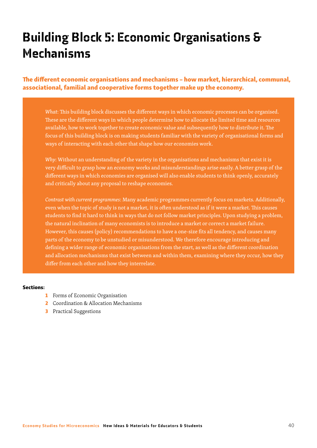# Building Block 5: Economic Organisations & Mechanisms

The different economic organisations and mechanisms – how market, hierarchical, communal, associational, familial and cooperative forms together make up the economy.

*What*: This building block discusses the different ways in which economic processes can be organised. These are the different ways in which people determine how to allocate the limited time and resources available, how to work together to create economic value and subsequently how to distribute it. The focus of this building block is on making students familiar with the variety of organisational forms and ways of interacting with each other that shape how our economies work.

*Why*: Without an understanding of the variety in the organisations and mechanisms that exist it is very difficult to grasp how an economy works and misunderstandings arise easily. A better grasp of the different ways in which economies are organised will also enable students to think openly, accurately and critically about any proposal to reshape economies.

*Contrast with current programmes*: Many academic programmes currently focus on markets. Additionally, even when the topic of study is not a market, it is often understood as if it were a market. This causes students to find it hard to think in ways that do not follow market principles. Upon studying a problem, the natural inclination of many economists is to introduce a market or correct a market failure. However, this causes (policy) recommendations to have a one-size fits all tendency, and causes many parts of the economy to be unstudied or misunderstood. We therefore encourage introducing and defining a wider range of economic organisations from the start, as well as the different coordination and allocation mechanisms that exist between and within them, examining where they occur, how they differ from each other and how they interrelate.

#### Sections:

- 1 Forms of Economic Organisation
- 2 Coordination & Allocation Mechanisms
- 3 Practical Suggestions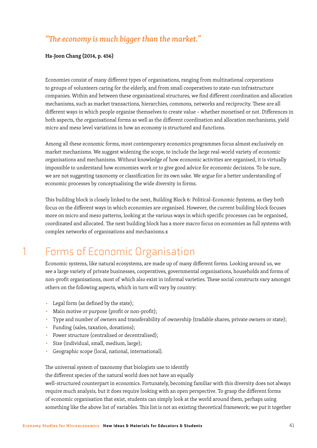#### *"The economy is much bigger than the market."*

#### **Ha-Joon Chang (2014, p. 456)**

Economies consist of many different types of organisations, ranging from multinational corporations to groups of volunteers caring for the elderly, and from small cooperatives to state-run infrastructure companies. Within and between these organisational structures, we find different coordination and allocation mechanisms, such as market transactions, hierarchies, commons, networks and reciprocity. These are all different ways in which people organise themselves to create value – whether monetised or not. Differences in both aspects, the organisational forms as well as the different coordination and allocation mechanisms, yield micro and meso level variations in how an economy is structured and functions.

Among all these economic forms, most contemporary economics programmes focus almost exclusively on market mechanisms. We suggest widening the scope, to include the large real-world variety of economic organisations and mechanisms. Without knowledge of how economic activities are organised, it is virtually impossible to understand how economies work or to give good advice for economic decisions. To be sure, we are not suggesting taxonomy or classification for its own sake. We argue for a better understanding of economic processes by conceptualising the wide diversity in forms.

This building block is closely linked to the next, Building Block 6: Political-Economic Systems, as they both focus on the different ways in which economies are organised. However, the current building block focuses more on micro and meso patterns, looking at the various ways in which specific processes can be organised, coordinated and allocated. The next building block has a more macro focus on economies as full systems with complex networks of organisations and mechanisms.x

### 1 Forms of Economic Organisation

Economic systems, like natural ecosystems, are made up of many different forms. Looking around us, we see a large variety of private businesses, cooperatives, governmental organisations, households and forms of non-profit organisations, most of which also exist in informal varieties. These social constructs vary amongst others on the following aspects, which in turn will vary by country:

- Legal form (as defined by the state);
- Main motive or purpose (profit or non-profit);
- Type and number of owners and transferability of ownership (tradable shares, private owners or state);
- Funding (sales, taxation, donations);
- Power structure (centralised or decentralised);
- Size (individual, small, medium, large);
- Geographic scope (local, national, international).

The universal system of taxonomy that biologists use to identify

the different species of the natural world does not have an equally

well-structured counterpart in economics. Fortunately, becoming familiar with this diversity does not always require much analysis, but it does require looking with an open perspective. To grasp the different forms of economic organisation that exist, students can simply look at the world around them, perhaps using something like the above list of variables. This list is not an existing theoretical framework; we put it together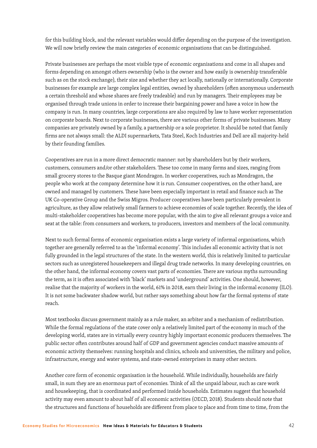for this building block, and the relevant variables would differ depending on the purpose of the investigation. We will now briefly review the main categories of economic organisations that can be distinguished.

Private businesses are perhaps the most visible type of economic organisations and come in all shapes and forms depending on amongst others ownership (who is the owner and how easily is ownership transferable such as on the stock exchange), their size and whether they act locally, nationally or internationally. Corporate businesses for example are large complex legal entities, owned by shareholders (often anonymous underneath a certain threshold and whose shares are freely tradeable) and run by managers. Their employees may be organised through trade unions in order to increase their bargaining power and have a voice in how the company is run. In many countries, large corporations are also required by law to have worker representation on corporate boards. Next to corporate businesses, there are various other forms of private businesses. Many companies are privately owned by a family, a partnership or a sole proprietor. It should be noted that family firms are not always small: the ALDI supermarkets, Tata Steel, Koch Industries and Dell are all majority-held by their founding families.

Cooperatives are run in a more direct democratic manner: not by shareholders but by their workers, customers, consumers and/or other stakeholders. These too come in many forms and sizes, ranging from small grocery stores to the Basque giant Mondragon. In worker cooperatives, such as Mondragon, the people who work at the company determine how it is run. Consumer cooperatives, on the other hand, are owned and managed by customers. These have been especially important in retail and finance such as The UK Co-operative Group and the Swiss Migros. Producer cooperatives have been particularly prevalent in agriculture, as they allow relatively small farmers to achieve economies of scale together. Recently, the idea of multi-stakeholder cooperatives has become more popular, with the aim to give all relevant groups a voice and seat at the table: from consumers and workers, to producers, investors and members of the local community.

Next to such formal forms of economic organisation exists a large variety of informal organisations, which together are generally referred to as the 'informal economy'. This includes all economic activity that is not fully grounded in the legal structures of the state. In the western world, this is relatively limited to particular sectors such as unregistered housekeepers and illegal drug trade networks. In many developing countries, on the other hand, the informal economy covers vast parts of economies. There are various myths surrounding the term, as it is often associated with 'black' markets and 'underground' activities. One should, however, realise that the majority of workers in the world, 61% in 2018, earn their living in the informal economy (ILO). It is not some backwater shadow world, but rather says something about how far the formal systems of state reach.

Most textbooks discuss government mainly as a rule maker, an arbiter and a mechanism of redistribution. While the formal regulations of the state cover only a relatively limited part of the economy in much of the developing world, states are in virtually every country highly important economic producers themselves. The public sector often contributes around half of GDP and government agencies conduct massive amounts of economic activity themselves: running hospitals and clinics, schools and universities, the military and police, infrastructure, energy and water systems, and state-owned enterprises in many other sectors.

Another core form of economic organisation is the household. While individually, households are fairly small, in sum they are an enormous part of economies. Think of all the unpaid labour, such as care work and housekeeping, that is coordinated and performed inside households. Estimates suggest that household activity may even amount to about half of all economic activities (OECD, 2018). Students should note that the structures and functions of households are different from place to place and from time to time, from the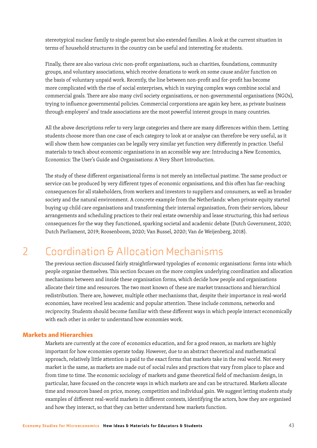stereotypical nuclear family to single-parent but also extended families. A look at the current situation in terms of household structures in the country can be useful and interesting for students.

Finally, there are also various civic non-profit organisations, such as charities, foundations, community groups, and voluntary associations, which receive donations to work on some cause and/or function on the basis of voluntary unpaid work. Recently, the line between non-profit and for-profit has become more complicated with the rise of social enterprises, which in varying complex ways combine social and commercial goals. There are also many civil society organisations, or non-governmental organisations (NGOs), trying to influence governmental policies. Commercial corporations are again key here, as private business through employers' and trade associations are the most powerful interest groups in many countries.

All the above descriptions refer to very large categories and there are many differences within them. Letting students choose more than one case of each category to look at or analyse can therefore be very useful, as it will show them how companies can be legally very similar yet function very differently in practice. Useful materials to teach about economic organisations in an accessible way are: Introducing a New Economics, Economics: The User's Guide and Organisations: A Very Short Introduction.

The study of these different organisational forms is not merely an intellectual pastime. The same product or service can be produced by very different types of economic organisations, and this often has far-reaching consequences for all stakeholders, from workers and investors to suppliers and consumers, as well as broader society and the natural environment. A concrete example from the Netherlands: when private equity started buying up child care organisations and transforming their internal organisation, from their services, labour arrangements and scheduling practices to their real estate ownership and lease structuring, this had serious consequences for the way they functioned, sparking societal and academic debate (Dutch Government, 2020; Dutch Parliament, 2019; Roosenboom, 2020; Van Bussel, 2020; Van de Weijenberg, 2018).

### 2 Coordination & Allocation Mechanisms

The previous section discussed fairly straightforward typologies of economic organisations: forms into which people organise themselves. This section focuses on the more complex underlying coordination and allocation mechanisms between and inside these organisation forms, which decide how people and organisations allocate their time and resources. The two most known of these are market transactions and hierarchical redistribution. There are, however, multiple other mechanisms that, despite their importance in real-world economies, have received less academic and popular attention. These include commons, networks and reciprocity. Students should become familiar with these different ways in which people interact economically with each other in order to understand how economies work.

#### Markets and Hierarchies

Markets are currently at the core of economics education, and for a good reason, as markets are highly important for how economies operate today. However, due to an abstract theoretical and mathematical approach, relatively little attention is paid to the exact forms that markets take in the real world. Not every market is the same, as markets are made out of social rules and practices that vary from place to place and from time to time. The economic sociology of markets and game theoretical field of mechanism design, in particular, have focused on the concrete ways in which markets are and can be structured. Markets allocate time and resources based on price, money, competition and individual gain. We suggest letting students study examples of different real-world markets in different contexts, identifying the actors, how they are organised and how they interact, so that they can better understand how markets function.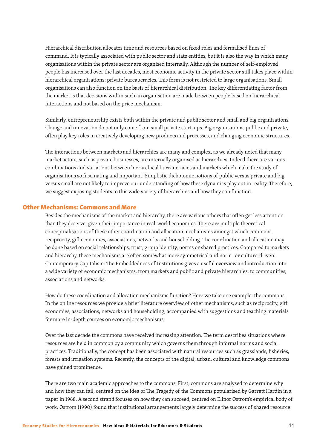Hierarchical distribution allocates time and resources based on fixed roles and formalised lines of command. It is typically associated with public sector and state entities, but it is also the way in which many organisations within the private sector are organised internally. Although the number of self-employed people has increased over the last decades, most economic activity in the private sector still takes place within hierarchical organisations: private bureaucracies. This form is not restricted to large organisations. Small organisations can also function on the basis of hierarchical distribution. The key differentiating factor from the market is that decisions within such an organisation are made between people based on hierarchical interactions and not based on the price mechanism.

Similarly, entrepreneurship exists both within the private and public sector and small and big organisations. Change and innovation do not only come from small private start-ups. Big organisations, public and private, often play key roles in creatively developing new products and processes, and changing economic structures.

The interactions between markets and hierarchies are many and complex, as we already noted that many market actors, such as private businesses, are internally organised as hierarchies. Indeed there are various combinations and variations between hierarchical bureaucracies and markets which make the study of organisations so fascinating and important. Simplistic dichotomic notions of public versus private and big versus small are not likely to improve our understanding of how these dynamics play out in reality. Therefore, we suggest exposing students to this wide variety of hierarchies and how they can function.

#### Other Mechanisms: Commons and More

Besides the mechanisms of the market and hierarchy, there are various others that often get less attention than they deserve, given their importance in real-world economies. There are multiple theoretical conceptualisations of these other coordination and allocation mechanisms amongst which commons, reciprocity, gift economies, associations, networks and householding. The coordination and allocation may be done based on social relationships, trust, group identity, norms or shared practices. Compared to markets and hierarchy, these mechanisms are often somewhat more symmetrical and norm- or culture-driven. Contemporary Capitalism: The Embeddedness of Institutions gives a useful overview and introduction into a wide variety of economic mechanisms, from markets and public and private hierarchies, to communities, associations and networks.

How do these coordination and allocation mechanisms function? Here we take one example: the commons. In the online resources we provide a brief literature overview of other mechanisms, such as reciprocity, gift economies, associations, networks and householding, accompanied with suggestions and teaching materials for more in-depth courses on economic mechanisms.

Over the last decade the commons have received increasing attention. The term describes situations where resources are held in common by a community which governs them through informal norms and social practices. Traditionally, the concept has been associated with natural resources such as grasslands, fisheries, forests and irrigation systems. Recently, the concepts of the digital, urban, cultural and knowledge commons have gained prominence.

There are two main academic approaches to the commons. First, commons are analysed to determine why and how they can fail, centred on the idea of The Tragedy of the Commons popularised by Garrett Hardin in a paper in 1968. A second strand focuses on how they can succeed, centred on Elinor Ostrom's empirical body of work. Ostrom (1990) found that institutional arrangements largely determine the success of shared resource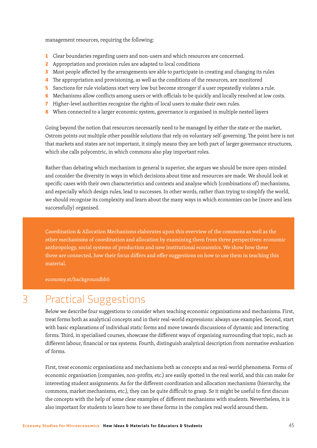management resources, requiring the following:

- 1 Clear boundaries regarding users and non-users and which resources are concerned.
- 2 Appropriation and provision rules are adapted to local conditions
- 3 Most people affected by the arrangements are able to participate in creating and changing its rules
- 4 The appropriation and provisioning, as well as the conditions of the resources, are monitored
- 5 Sanctions for rule violations start very low but become stronger if a user repeatedly violates a rule.
- 6 Mechanisms allow conflicts among users or with officials to be quickly and locally resolved at low costs.
- 7 Higher-level authorities recognize the rights of local users to make their own rules.
- 8 When connected to a larger economic system, governance is organised in multiple nested layers

Going beyond the notion that resources necessarily need to be managed by either the state or the market, Ostrom points out multiple other possible solutions that rely on voluntary self-governing. The point here is not that markets and states are not important, it simply means they are both part of larger governance structures, which she calls polycentric, in which commons also play important roles.

Rather than debating which mechanism in general is superior, she argues we should be more open-minded and consider the diversity in ways in which decisions about time and resources are made. We should look at specific cases with their own characteristics and contexts and analyse which (combinations of ) mechanisms, and especially which design rules, lead to successes. In other words, rather than trying to simplify the world, we should recognise its complexity and learn about the many ways in which economies can be (more and less successfully) organised.

Coordination & Allocation Mechanisms elaborates upon this overview of the commons as well as the other mechanisms of coordination and allocation by examining them from three perspectives: economic anthropology, social systems of production and new institutional economics. We show how these three are connected, how their focus differs and offer suggestions on how to use them in teaching this material.

economy.st/backgroundbb5

### 3 Practical Suggestions

Below we describe four suggestions to consider when teaching economic organisations and mechanisms. First, treat forms both as analytical concepts and in their real-world expressions: always use examples. Second, start with basic explanations of individual static forms and move towards discussions of dynamic and interacting forms. Third, in specialised courses, showcase the different ways of organising surrounding that topic, such as different labour, financial or tax systems. Fourth, distinguish analytical description from normative evaluation of forms.

First, treat economic organisations and mechanisms both as concepts and as real-world phenomena. Forms of economic organisation (companies, non-profits, etc.) are easily spotted in the real world, and this can make for interesting student assignments. As for the different coordination and allocation mechanisms (hierarchy, the commons, market mechanisms, etc.), they can be quite difficult to grasp. So it might be useful to first discuss the concepts with the help of some clear examples of different mechanisms with students. Nevertheless, it is also important for students to learn how to see these forms in the complex real world around them.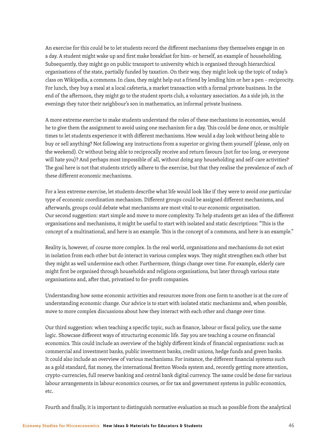An exercise for this could be to let students record the different mechanisms they themselves engage in on a day. A student might wake up and first make breakfast for him- or herself, an example of householding. Subsequently, they might go on public transport to university which is organised through hierarchical organisations of the state, partially funded by taxation. On their way, they might look up the topic of today's class on Wikipedia, a commons. In class, they might help out a friend by lending him or her a pen – reciprocity. For lunch, they buy a meal at a local cafeteria, a market transaction with a formal private business. In the end of the afternoon, they might go to the student sports club, a voluntary association. As a side job, in the evenings they tutor their neighbour's son in mathematics, an informal private business.

A more extreme exercise to make students understand the roles of these mechanisms in economies, would be to give them the assignment to avoid using one mechanism for a day. This could be done once, or multiple times to let students experience it with different mechanisms. How would a day look without being able to buy or sell anything? Not following any instructions from a superior or giving them yourself (please, only on the weekend). Or without being able to reciprocally receive and return favours (not for too long, or everyone will hate you)? And perhaps most impossible of all, without doing any householding and self-care activities? The goal here is not that students strictly adhere to the exercise, but that they realise the prevalence of each of these different economic mechanisms.

For a less extreme exercise, let students describe what life would look like if they were to avoid one particular type of economic coordination mechanism. Different groups could be assigned different mechanisms, and afterwards, groups could debate what mechanisms are most vital to our economic organisation. Our second suggestion: start simple and move to more complexity. To help students get an idea of the different organisations and mechanisms, it might be useful to start with isolated and static descriptions: "This is the concept of a multinational, and here is an example. This is the concept of a commons, and here is an example."

Reality is, however, of course more complex. In the real world, organisations and mechanisms do not exist in isolation from each other but do interact in various complex ways. They might strengthen each other but they might as well undermine each other. Furthermore, things change over time. For example, elderly care might first be organised through households and religions organisations, but later through various state organisations and, after that, privatised to for-profit companies.

Understanding how some economic activities and resources move from one form to another is at the core of understanding economic change. Our advice is to start with isolated static mechanisms and, when possible, move to more complex discussions about how they interact with each other and change over time.

Our third suggestion: when teaching a specific topic, such as finance, labour or fiscal policy, use the same logic. Showcase different ways of structuring economic life. Say you are teaching a course on financial economics. This could include an overview of the highly different kinds of financial organisations: such as commercial and investment banks, public investment banks, credit unions, hedge funds and green banks. It could also include an overview of various mechanisms. For instance, the different financial systems such as a gold standard, fiat money, the international Bretton Woods system and, recently getting more attention, crypto-currencies, full reserve banking and central bank digital currency. The same could be done for various labour arrangements in labour economics courses, or for tax and government systems in public economics, etc.

Fourth and finally, it is important to distinguish normative evaluation as much as possible from the analytical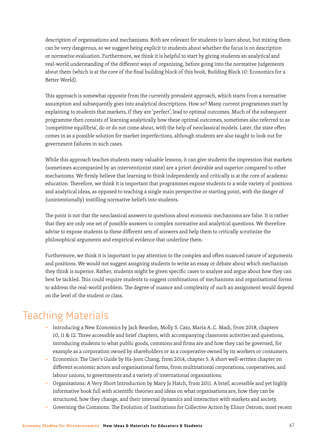description of organisations and mechanisms. Both are relevant for students to learn about, but mixing them can be very dangerous, so we suggest being explicit to students about whether the focus is on description or normative evaluation. Furthermore, we think it is helpful to start by giving students an analytical and real-world understanding of the different ways of organising, before going into the normative judgements about them (which is at the core of the final building block of this book, Building Block 10: Economics for a Better World).

This approach is somewhat opposite from the currently prevalent approach, which starts from a normative assumption and subsequently goes into analytical descriptions. How so? Many current programmes start by explaining to students that markets, if they are 'perfect', lead to optimal outcomes. Much of the subsequent programme then consists of learning analytically how these optimal outcomes, sometimes also referred to as 'competitive equilibria', do or do not come about, with the help of neoclassical models. Later, the state often comes in as a possible solution for market imperfections, although students are also taught to look out for government failures in such cases.

While this approach teaches students many valuable lessons, it can give students the impression that markets (sometimes accompanied by an interventionist state) are a priori desirable and superior compared to other mechanisms. We firmly believe that learning to think independently and critically is at the core of academic education. Therefore, we think it is important that programmes expose students to a wide variety of positions and analytical ideas, as opposed to teaching a single main perspective or starting point, with the danger of (unintentionally) instilling normative beliefs into students.

The point is not that the neoclassical answers to questions about economic mechanisms are false. It is rather that they are only one set of possible answers to complex normative and analytical questions. We therefore advise to expose students to these different sets of answers and help them to critically scrutinize the philosophical arguments and empirical evidence that underline them.

Furthermore, we think it is important to pay attention to the complex and often nuanced nature of arguments and positions. We would not suggest assigning students to write an essay or debate about which mechanism they think is superior. Rather, students might be given specific cases to analyse and argue about how they can best be tackled. This could require students to suggest combinations of mechanisms and organisational forms to address the real-world problem. The degree of nuance and complexity of such an assignment would depend on the level of the student or class.

### Teaching Materials

- Introducing a New Economics by Jack Reardon, Molly S. Cato, Maria A..C. Madi, from 2018, chapters 10, 11 & 12. Three accessible and brief chapters, with accompanying classroom activities and questions, introducing students to what public goods, commons and firms are and how they can be governed, for example as a corporation owned by shareholders or as a cooperative owned by its workers or consumers.
- Economics: The User's Guide by Ha-Joon Chang, from 2014, chapter 5. A short well-written chapter on different economic actors and organisational forms, from multinational corporations, cooperatives, and labour unions, to governments and a variety of international organisations.
- Organisations: A Very Short Introduction by Mary Jo Hatch, from 2011. A brief, accessible and yet highly informative book full with scientific theories and ideas on what organisations are, how they can be structured, how they change, and their internal dynamics and interaction with markets and society.
- Governing the Commons: The Evolution of Institutions for Collective Action by Elinor Ostrom, most recent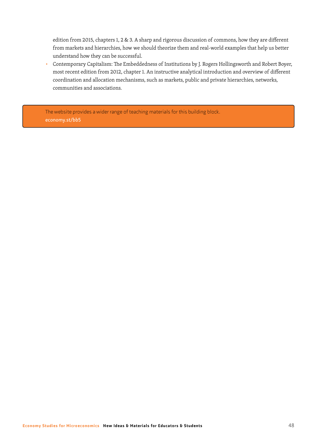edition from 2015, chapters 1, 2 & 3. A sharp and rigorous discussion of commons, how they are different from markets and hierarchies, how we should theorize them and real-world examples that help us better understand how they can be successful.

■ Contemporary Capitalism: The Embeddedness of Institutions by J. Rogers Hollingsworth and Robert Boyer, most recent edition from 2012, chapter 1. An instructive analytical introduction and overview of different coordination and allocation mechanisms, such as markets, public and private hierarchies, networks, communities and associations.

The website provides a wider range of teaching materials for this building block. economy.st/bb5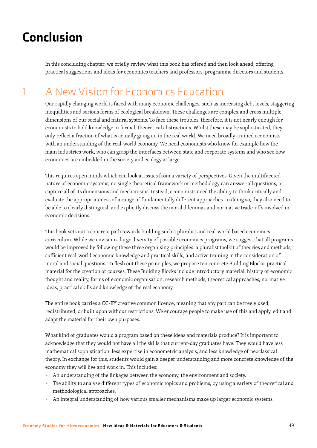# Conclusion

In this concluding chapter, we briefly review what this book has offered and then look ahead, offering practical suggestions and ideas for economics teachers and professors, programme directors and students.

## 1 A New Vision for Economics Education

Our rapidly changing world is faced with many economic challenges, such as increasing debt levels, staggering inequalities and serious forms of ecological breakdown. These challenges are complex and cross multiple dimensions of our social and natural systems. To face these troubles, therefore, it is not nearly enough for economists to hold knowledge in formal, theoretical abstractions. Whilst these may be sophisticated, they only reflect a fraction of what is actually going on in the real world. We need broadly-trained economists with an understanding of the real-world economy. We need economists who know for example how the main industries work, who can grasp the interfaces between state and corporate systems and who see how economies are embedded in the society and ecology at large.

This requires open minds which can look at issues from a variety of perspectives. Given the multifaceted nature of economic systems, no single theoretical framework or methodology can answer all questions, or capture all of its dimensions and mechanisms. Instead, economists need the ability to think critically and evaluate the appropriateness of a range of fundamentally different approaches. In doing so, they also need to be able to clearly distinguish and explicitly discuss the moral dilemmas and normative trade-offs involved in economic decisions.

This book sets out a concrete path towards building such a pluralist and real-world based economics curriculum. While we envision a large diversity of possible economics programs, we suggest that all programs would be improved by following these three organising principles: a pluralist toolkit of theories and methods, sufficient real-world economic knowledge and practical skills, and active training in the consideration of moral and social questions. To flesh out these principles, we propose ten concrete Building Blocks: practical material for the creation of courses. These Building Blocks include introductory material, history of economic thought and reality, forms of economic organisation, research methods, theoretical approaches, normative ideas, practical skills and knowledge of the real economy.

The entire book carries a CC-BY creative common licence, meaning that any part can be freely used, redistributed, or built upon without restrictions. We encourage people to make use of this and apply, edit and adapt the material for their own purposes.

What kind of graduates would a program based on these ideas and materials produce? It is important to acknowledge that they would not have all the skills that current-day graduates have. They would have less mathematical sophistication, less expertise in econometric analysis, and less knowledge of neoclassical theory. In exchange for this, students would gain a deeper understanding and more concrete knowledge of the economy they will live and work in. This includes:

- An understanding of the linkages between the economy, the environment and society.
- The ability to analyse different types of economic topics and problems, by using a variety of theoretical and methodological approaches.
- An integral understanding of how various smaller mechanisms make up larger economic systems.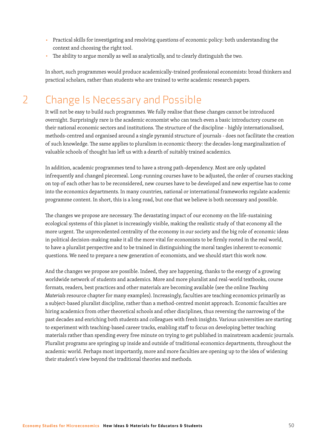- Practical skills for investigating and resolving questions of economic policy: both understanding the context and choosing the right tool.
- The ability to argue morally as well as analytically, and to clearly distinguish the two.

In short, such programmes would produce academically-trained professional economists: broad thinkers and practical scholars, rather than students who are trained to write academic research papers.

### 2 Change Is Necessary and Possible

It will not be easy to build such programmes. We fully realise that these changes cannot be introduced overnight. Surprisingly rare is the academic economist who can teach even a basic introductory course on their national economic sectors and institutions. The structure of the discipline - highly internationalised, methods-centred and organised around a single pyramid structure of journals - does not facilitate the creation of such knowledge. The same applies to pluralism in economic theory: the decades-long marginalization of valuable schools of thought has left us with a dearth of suitably trained academics.

In addition, academic programmes tend to have a strong path-dependency. Most are only updated infrequently and changed piecemeal. Long-running courses have to be adjusted, the order of courses stacking on top of each other has to be reconsidered, new courses have to be developed and new expertise has to come into the economics departments. In many countries, national or international frameworks regulate academic programme content. In short, this is a long road, but one that we believe is both necessary and possible.

The changes we propose are necessary. The devastating impact of our economy on the life-sustaining ecological systems of this planet is increasingly visible, making the realistic study of that economy all the more urgent. The unprecedented centrality of the economy in our society and the big role of economic ideas in political decision-making make it all the more vital for economists to be firmly rooted in the real world, to have a pluralist perspective and to be trained in distinguishing the moral tangles inherent to economic questions. We need to prepare a new generation of economists, and we should start this work now.

And the changes we propose are possible. Indeed, they are happening, thanks to the energy of a growing worldwide network of students and academics. More and more pluralist and real-world textbooks, course formats, readers, best practices and other materials are becoming available (see the online *Teaching Materials* resource chapter for many examples). Increasingly, faculties are teaching economics primarily as a subject-based pluralist discipline, rather than a method-centred monist approach. Economic faculties are hiring academics from other theoretical schools and other disciplines, thus reversing the narrowing of the past decades and enriching both students and colleagues with fresh insights. Various universities are starting to experiment with teaching-based career tracks, enabling staff to focus on developing better teaching materials rather than spending every free minute on trying to get published in mainstream academic journals. Pluralist programs are springing up inside and outside of traditional economics departments, throughout the academic world. Perhaps most importantly, more and more faculties are opening up to the idea of widening their student's view beyond the traditional theories and methods.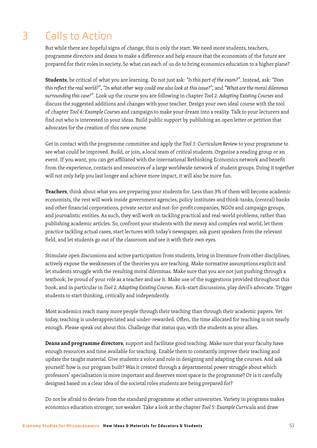# 3 Calls to Action

But while there are hopeful signs of change, this is only the start. We need more students, teachers, programme directors and deans to make a difference and help ensure that the economists of the future are prepared for their roles in society. So what can each of us do to bring economics education to a higher plane?

**Students**, be critical of what you are learning. Do not just ask: *"Is this part of the exam?"*. Instead, ask: *"Does this reflect the real world?"*, *"In what other way could one also look at this issue?"*, and *"What are the moral dilemmas surrounding this case?"*. Look up the course you are following in chapter *Tool 2: Adapting Existing Courses* and discuss the suggested additions and changes with your teacher. Design your own ideal course with the tool of chapter *Tool 4: Example Courses* and campaign to make your dream into a reality. Talk to your lecturers and find out who is interested in your ideas. Build public support by publishing an open letter or petition that advocates for the creation of this new course.

Get in contact with the programme committee and apply the *Tool 3: Curriculum Review* to your programme to see what could be improved. Build, or join, a local team of critical students. Organise a reading group or an event. If you want, you can get affiliated with the international Rethinking Economics network and benefit from the experience, contacts and resources of a large worldwide network of student groups. Doing it together will not only help you last longer and achieve more impact, it will also be more fun.

**Teachers**, think about what you are preparing your students for. Less than 3% of them will become academic economists, the rest will work inside government agencies, policy institutes and think-tanks, (central) banks and other financial corporations, private sector and not-for-profit companies, NGOs and campaign groups, and journalistic entities. As such, they will work on tackling practical and real-world problems, rather than publishing academic articles. So, confront your students with the messy and complex real world, let them practice tackling actual cases, start lectures with today's newspaper, ask guest speakers from the relevant field, and let students go out of the classroom and see it with their own eyes.

Stimulate open discussions and active participation from students, bring in literature from other disciplines, actively expose the weaknesses of the theories you are teaching. Make normative assumptions explicit and let students struggle with the resulting moral dilemmas. Make sure that you are not just pushing through a textbook; be proud of your role as a teacher and *use* it. Make use of the suggestions provided throughout this book, and in particular in *Tool 2: Adapting Existing Courses*. Kick-start discussions, play devil's advocate. Trigger students to start thinking, critically and independently.

Most academics reach many more people through their teaching than through their academic papers. Yet today, teaching is underappreciated and under-rewarded. Often, the time allocated for teaching is not nearly enough. Please speak out about this. Challenge that status quo, with the students as your allies.

**Deans and programme directors**, support and facilitate good teaching. Make sure that your faculty have enough resources and time available for teaching. Enable them to constantly improve their teaching and update the taught material. Give students a voice and role in designing and adapting the courses. And ask yourself: how is our program built? Was it created through a departmental power struggle about which professors' specialisation is more important and deserves most space in the programme? Or is it carefully designed based on a clear idea of the societal roles students are being prepared for?

Do not be afraid to deviate from the standard programme at other universities. Variety in programs makes economics education stronger, not weaker. Take a look at the chapter *Tool 5: Example Curricula* and draw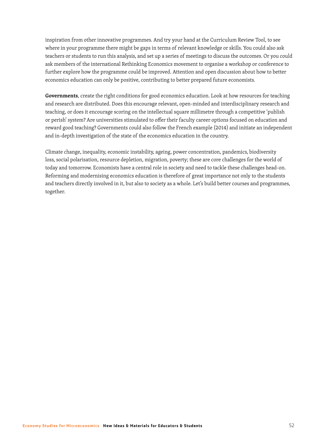inspiration from other innovative programmes. And try your hand at the Curriculum Review Tool, to see where in your programme there might be gaps in terms of relevant knowledge or skills. You could also ask teachers or students to run this analysis, and set up a series of meetings to discuss the outcomes. Or you could ask members of the international Rethinking Economics movement to organise a workshop or conference to further explore how the programme could be improved. Attention and open discussion about how to better economics education can only be positive, contributing to better prepared future economists.

**Governments**, create the right conditions for good economics education. Look at how resources for teaching and research are distributed. Does this encourage relevant, open-minded and interdisciplinary research and teaching, or does it encourage scoring on the intellectual square millimetre through a competitive 'publish or perish' system? Are universities stimulated to offer their faculty career options focused on education and reward good teaching? Governments could also follow the French example (2014) and initiate an independent and in-depth investigation of the state of the economics education in the country.

Climate change, inequality, economic instability, ageing, power concentration, pandemics, biodiversity loss, social polarisation, resource depletion, migration, poverty; these are core challenges for the world of today and tomorrow. Economists have a central role in society and need to tackle these challenges head-on. Reforming and modernising economics education is therefore of great importance not only to the students and teachers directly involved in it, but also to society as a whole. Let's build better courses and programmes, together.